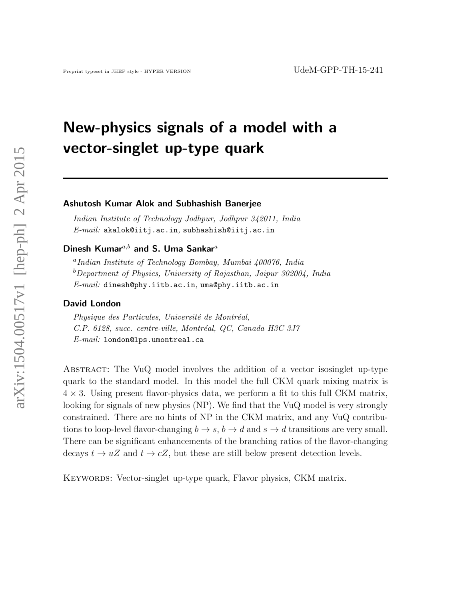# New-physics signals of a model with a vector-singlet up-type quark

#### Ashutosh Kumar Alok and Subhashish Banerjee

Indian Institute of Technology Jodhpur, Jodhpur 342011, India  $E-mail:$  akalok@iitj.ac.in, subhashish@iitj.ac.in

### Dinesh Kumar<sup>a,b</sup> and S. Uma Sankar<sup>a</sup>

a Indian Institute of Technology Bombay, Mumbai 400076, India  $b$ Department of Physics, University of Rajasthan, Jaipur 302004, India E-mail: dinesh@phy.iitb.ac.in, uma@phy.iitb.ac.in

#### David London

Physique des Particules, Université de Montréal, C.P. 6128, succ. centre-ville, Montréal, QC, Canada H3C 3J7 E-mail: london@lps.umontreal.ca

Abstract: The VuQ model involves the addition of a vector isosinglet up-type quark to the standard model. In this model the full CKM quark mixing matrix is  $4 \times 3$ . Using present flavor-physics data, we perform a fit to this full CKM matrix, looking for signals of new physics (NP). We find that the VuQ model is very strongly constrained. There are no hints of NP in the CKM matrix, and any VuQ contributions to loop-level flavor-changing  $b \to s$ ,  $b \to d$  and  $s \to d$  transitions are very small. There can be significant enhancements of the branching ratios of the flavor-changing decays  $t \to uZ$  and  $t \to cZ$ , but these are still below present detection levels.

KEYWORDS: Vector-singlet up-type quark, Flavor physics, CKM matrix.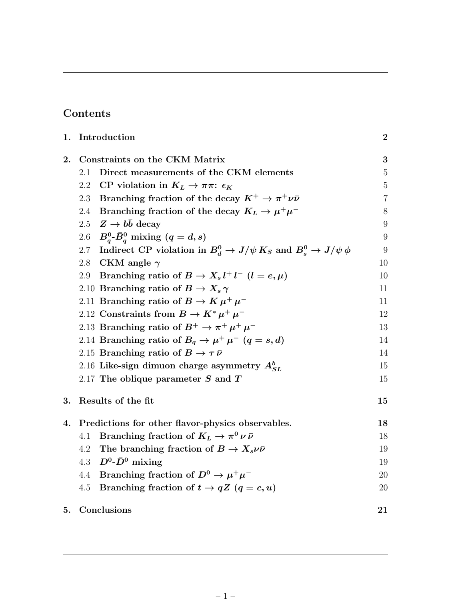# Contents

| 1. | Introduction                                                                       | $\boldsymbol{2}$ |
|----|------------------------------------------------------------------------------------|------------------|
| 2. | Constraints on the CKM Matrix                                                      | 3                |
|    | Direct measurements of the CKM elements<br>2.1                                     | $\mathbf 5$      |
|    | CP violation in $K_L \rightarrow \pi \pi$ : $\epsilon_K$<br>2.2                    | $\bf 5$          |
|    | Branching fraction of the decay $K^+ \to \pi^+ \nu \bar{\nu}$<br>2.3               | $\overline{7}$   |
|    | Branching fraction of the decay $K_L \rightarrow \mu^+ \mu^-$<br>2.4               | 8                |
|    | 2.5 $Z \rightarrow b\bar{b}$ decay                                                 | $9\,$            |
|    | $B_q^0$ - $\bar{B}_q^0$ mixing $(q=d,s)$<br>$2.6\,$                                | $9\,$            |
|    | Indirect CP violation in $B_d^0 \to J/\psi K_S$ and $B_s^0 \to J/\psi \phi$<br>2.7 | 9                |
|    | 2.8<br>CKM angle $\gamma$                                                          | 10               |
|    | Branching ratio of $B \to X_s l^+ l^ (l = e, \mu)$<br>2.9                          | 10               |
|    | 2.10 Branching ratio of $B \to X_s \gamma$                                         | 11               |
|    | 2.11 Branching ratio of $B \to K \mu^+ \mu^-$                                      | 11               |
|    | 2.12 Constraints from $B \to K^* \mu^+ \mu^-$                                      | 12               |
|    | 2.13 Branching ratio of $B^+ \to \pi^+ \mu^+ \mu^-$                                | 13               |
|    | 2.14 Branching ratio of $B_q \to \mu^+ \mu^ (q=s,d)$                               | 14               |
|    | 2.15 Branching ratio of $B \to \tau \bar{\nu}$                                     | 14               |
|    | 2.16 Like-sign dimuon charge asymmetry $A_{SL}^b$                                  | 15               |
|    | 2.17 The oblique parameter $S$ and $T$                                             | 15               |
| 3. | Results of the fit                                                                 | 15               |
| 4. | Predictions for other flavor-physics observables.                                  | 18               |
|    | Branching fraction of $K_L \rightarrow \pi^0 \nu \bar{\nu}$<br>4.1                 | 18               |
|    | The branching fraction of $B \to X_s \nu \bar{\nu}$<br>4.2                         | 19               |
|    | $D^0$ - $\bar{D}^0$ mixing<br>4.3                                                  | 19               |
|    | Branching fraction of $D^0 \to \mu^+\mu^-$<br>4.4                                  | 20               |
|    | Branching fraction of $t \to qZ$ $(q = c, u)$<br>4.5                               | 20               |
| 5. | Conclusions                                                                        | 21               |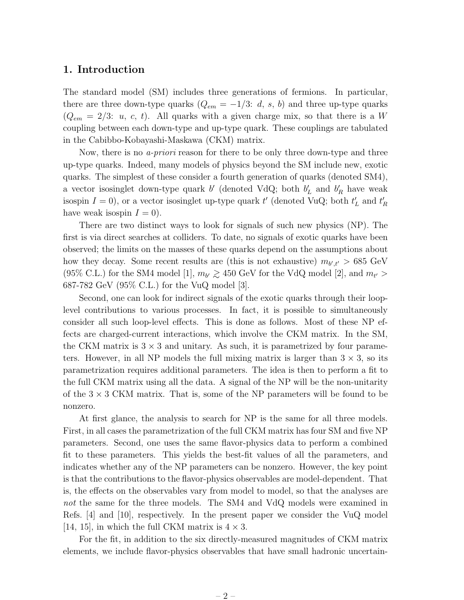#### 1. Introduction

The standard model (SM) includes three generations of fermions. In particular, there are three down-type quarks  $(Q_{em} = -1/3: d, s, b)$  and three up-type quarks  $(Q_{em} = 2/3: u, c, t)$ . All quarks with a given charge mix, so that there is a W coupling between each down-type and up-type quark. These couplings are tabulated in the Cabibbo-Kobayashi-Maskawa (CKM) matrix.

Now, there is no *a-priori* reason for there to be only three down-type and three up-type quarks. Indeed, many models of physics beyond the SM include new, exotic quarks. The simplest of these consider a fourth generation of quarks (denoted SM4), a vector isosinglet down-type quark  $b'$  (denoted VdQ; both  $b'_L$  and  $b'_R$  have weak isospin  $I = 0$ ), or a vector isosinglet up-type quark  $t'$  (denoted VuQ; both  $t'_L$  and  $t'_R$ have weak isospin  $I = 0$ ).

There are two distinct ways to look for signals of such new physics (NP). The first is via direct searches at colliders. To date, no signals of exotic quarks have been observed; the limits on the masses of these quarks depend on the assumptions about how they decay. Some recent results are (this is not exhaustive)  $m_{b',t'} > 685 \text{ GeV}$ (95% C.L.) for the SM4 model [1],  $m_{b'} \ge 450$  GeV for the VdQ model [2], and  $m_{t'} >$ 687-782 GeV (95% C.L.) for the VuQ model [3].

Second, one can look for indirect signals of the exotic quarks through their looplevel contributions to various processes. In fact, it is possible to simultaneously consider all such loop-level effects. This is done as follows. Most of these NP effects are charged-current interactions, which involve the CKM matrix. In the SM, the CKM matrix is  $3 \times 3$  and unitary. As such, it is parametrized by four parameters. However, in all NP models the full mixing matrix is larger than  $3 \times 3$ , so its parametrization requires additional parameters. The idea is then to perform a fit to the full CKM matrix using all the data. A signal of the NP will be the non-unitarity of the  $3 \times 3$  CKM matrix. That is, some of the NP parameters will be found to be nonzero.

At first glance, the analysis to search for NP is the same for all three models. First, in all cases the parametrization of the full CKM matrix has four SM and five NP parameters. Second, one uses the same flavor-physics data to perform a combined fit to these parameters. This yields the best-fit values of all the parameters, and indicates whether any of the NP parameters can be nonzero. However, the key point is that the contributions to the flavor-physics observables are model-dependent. That is, the effects on the observables vary from model to model, so that the analyses are not the same for the three models. The SM4 and VdQ models were examined in Refs. [4] and [10], respectively. In the present paper we consider the VuQ model [14, 15], in which the full CKM matrix is  $4 \times 3$ .

For the fit, in addition to the six directly-measured magnitudes of CKM matrix elements, we include flavor-physics observables that have small hadronic uncertain-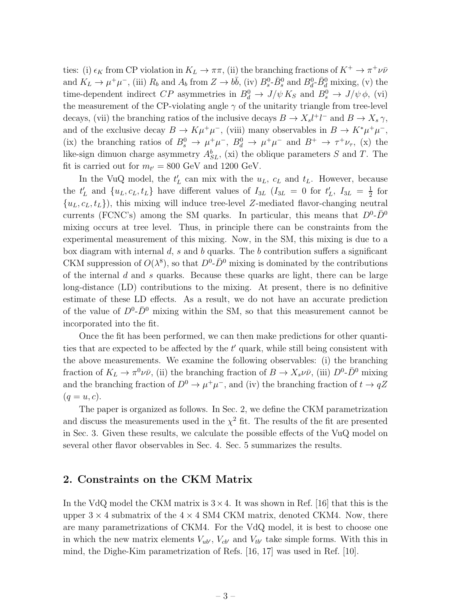ties: (i)  $\epsilon_K$  from CP violation in  $K_L \to \pi \pi$ , (ii) the branching fractions of  $K^+ \to \pi^+ \nu \bar{\nu}$ and  $K_L \to \mu^+\mu^-$ , (iii)  $R_b$  and  $A_b$  from  $Z \to b\bar{b}$ , (iv)  $B_s^0$ - $\bar{B}_s^0$  and  $B_d^0$ - $\bar{B}_d^0$  mixing, (v) the time-dependent indirect  $CP$  asymmetries in  $B_d^0 \to J/\psi K_S$  and  $B_s^0 \to J/\psi \phi$ , (vi) the measurement of the CP-violating angle  $\gamma$  of the unitarity triangle from tree-level decays, (vii) the branching ratios of the inclusive decays  $B \to X_s l^+ l^-$  and  $B \to X_s \gamma$ , and of the exclusive decay  $B \to K\mu^+\mu^-$ , (viii) many observables in  $B \to K^*\mu^+\mu^-$ , (ix) the branching ratios of  $B_s^0 \to \mu^+\mu^-$ ,  $B_d^0 \to \mu^+\mu^-$  and  $B^+ \to \tau^+\nu_{\tau}$ , (x) the like-sign dimuon charge asymmetry  $A_{SL}^b$ , (xi) the oblique parameters S and T. The fit is carried out for  $m_{t'} = 800$  GeV and 1200 GeV.

In the VuQ model, the  $t'_{L}$  can mix with the  $u_{L}$ ,  $c_{L}$  and  $t_{L}$ . However, because the  $t'_L$  and  $\{u_L, c_L, t_L\}$  have different values of  $I_{3L}$   $(I_{3L} = 0$  for  $t'_L$ ,  $I_{3L} = \frac{1}{2}$  $rac{1}{2}$  for  ${u<sub>L</sub>, c<sub>L</sub>, t<sub>L</sub>}$ , this mixing will induce tree-level Z-mediated flavor-changing neutral currents (FCNC's) among the SM quarks. In particular, this means that  $D^0$ - $\bar{D}^0$ mixing occurs at tree level. Thus, in principle there can be constraints from the experimental measurement of this mixing. Now, in the SM, this mixing is due to a box diagram with internal  $d$ ,  $s$  and  $b$  quarks. The  $b$  contribution suffers a significant CKM suppression of  $O(\lambda^8)$ , so that  $D^0$ - $\bar{D}^0$  mixing is dominated by the contributions of the internal  $d$  and  $s$  quarks. Because these quarks are light, there can be large long-distance (LD) contributions to the mixing. At present, there is no definitive estimate of these LD effects. As a result, we do not have an accurate prediction of the value of  $D^0$ - $\bar{D}^0$  mixing within the SM, so that this measurement cannot be incorporated into the fit.

Once the fit has been performed, we can then make predictions for other quantities that are expected to be affected by the  $t'$  quark, while still being consistent with the above measurements. We examine the following observables: (i) the branching fraction of  $K_L \to \pi^0 \nu \bar{\nu}$ , (ii) the branching fraction of  $B \to X_s \nu \bar{\nu}$ , (iii)  $D^0$ - $\bar{D}^0$  mixing and the branching fraction of  $D^0 \to \mu^+ \mu^-$ , and (iv) the branching fraction of  $t \to qZ$  $(q=u, c).$ 

The paper is organized as follows. In Sec. 2, we define the CKM parametrization and discuss the measurements used in the  $\chi^2$  fit. The results of the fit are presented in Sec. 3. Given these results, we calculate the possible effects of the VuQ model on several other flavor observables in Sec. 4. Sec. 5 summarizes the results.

### 2. Constraints on the CKM Matrix

In the VdQ model the CKM matrix is  $3 \times 4$ . It was shown in Ref. [16] that this is the upper  $3 \times 4$  submatrix of the  $4 \times 4$  SM4 CKM matrix, denoted CKM4. Now, there are many parametrizations of CKM4. For the VdQ model, it is best to choose one in which the new matrix elements  $V_{ub}$ ,  $V_{cb'}$  and  $V_{tb'}$  take simple forms. With this in mind, the Dighe-Kim parametrization of Refs. [16, 17] was used in Ref. [10].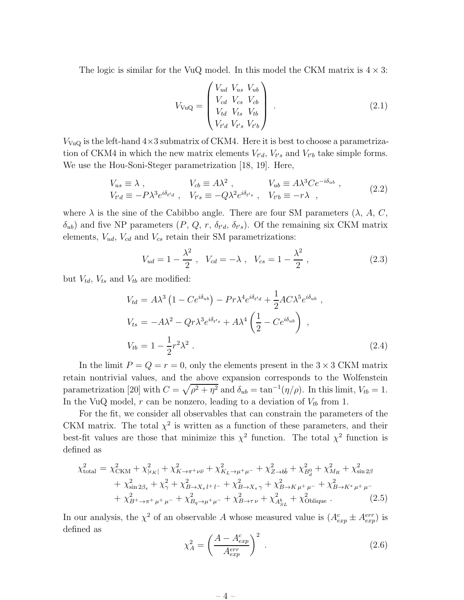The logic is similar for the VuQ model. In this model the CKM matrix is  $4 \times 3$ :

$$
V_{\text{VuQ}} = \begin{pmatrix} V_{ud} & V_{us} & V_{ub} \\ V_{cd} & V_{cs} & V_{cb} \\ V_{td} & V_{ts} & V_{tb} \\ V_{t'd} & V_{t's} & V_{t'b} \end{pmatrix} . \tag{2.1}
$$

 $V_{\text{VuQ}}$  is the left-hand  $4\times3$  submatrix of CKM4. Here it is best to choose a parametrization of CKM4 in which the new matrix elements  $V_{t'd}$ ,  $V_{t's}$  and  $V_{t'b}$  take simple forms. We use the Hou-Soni-Steger parametrization [18, 19]. Here,

$$
V_{us} \equiv \lambda , \qquad V_{cb} \equiv A\lambda^2 , \qquad V_{ub} \equiv A\lambda^3 C e^{-i\delta_{ub}} ,
$$
  
\n
$$
V_{t'd} \equiv -P\lambda^3 e^{i\delta_{t'd}} , \quad V_{t's} \equiv -Q\lambda^2 e^{i\delta_{t's}} , \quad V_{t'b} \equiv -r\lambda ,
$$
\n(2.2)

where  $\lambda$  is the sine of the Cabibbo angle. There are four SM parameters  $(\lambda, A, C, \lambda)$  $(\delta_{ub})$  and five NP parameters  $(P, Q, r, \delta_{t'd}, \delta_{t's})$ . Of the remaining six CKM matrix elements,  $V_{ud}$ ,  $V_{cd}$  and  $V_{cs}$  retain their SM parametrizations:

$$
V_{ud} = 1 - \frac{\lambda^2}{2}, \quad V_{cd} = -\lambda \,, \quad V_{cs} = 1 - \frac{\lambda^2}{2} \,, \tag{2.3}
$$

but  $V_{td}$ ,  $V_{ts}$  and  $V_{tb}$  are modified:

$$
V_{td} = A\lambda^3 \left(1 - Ce^{i\delta_{ub}}\right) - Pr\lambda^4 e^{i\delta_{t'd}} + \frac{1}{2} AC\lambda^5 e^{i\delta_{ub}},
$$
  
\n
$$
V_{ts} = -A\lambda^2 - Qr\lambda^3 e^{i\delta_{t's}} + A\lambda^4 \left(\frac{1}{2} - Ce^{i\delta_{ub}}\right),
$$
  
\n
$$
V_{tb} = 1 - \frac{1}{2}r^2\lambda^2.
$$
\n(2.4)

In the limit  $P = Q = r = 0$ , only the elements present in the  $3 \times 3$  CKM matrix retain nontrivial values, and the above expansion corresponds to the Wolfenstein parametrization [20] with  $C = \sqrt{\rho^2 + \eta^2}$  and  $\delta_{ub} = \tan^{-1}(\eta/\rho)$ . In this limit,  $V_{tb} = 1$ . In the VuQ model,  $r$  can be nonzero, leading to a deviation of  $V_{tb}$  from 1.

For the fit, we consider all observables that can constrain the parameters of the CKM matrix. The total  $\chi^2$  is written as a function of these parameters, and their best-fit values are those that minimize this  $\chi^2$  function. The total  $\chi^2$  function is defined as

$$
\chi_{\text{total}}^{2} = \chi_{\text{CKM}}^{2} + \chi_{|\epsilon_{K}|}^{2} + \chi_{K \to \pi^{+}\nu\bar{\nu}}^{2} + \chi_{K_{L} \to \mu^{+}\mu^{-}}^{2} + \chi_{Z \to b\bar{b}}^{2} + \chi_{B_{d}}^{2} + \chi_{M_{R}}^{2} + \chi_{\sin 2\beta}^{2} + \chi_{\sin 2\beta_{s}}^{2} + \chi_{\gamma}^{2} + \chi_{B \to X_{s} l^{+}l^{-}}^{2} + \chi_{B \to X_{s} l^{+}l^{-}}^{2} + \chi_{B \to K^{+}\mu^{+}}^{2} + \chi_{B_{q} \to \mu^{+}\mu^{-}}^{2} + \chi_{B_{q} \to \mu^{+}\mu^{-}}^{2} + \chi_{B_{q} \to \mu^{+}\mu^{-}}^{2} + \chi_{B_{q} \to \tau\nu}^{2} + \chi_{B_{s} L}^{2} + \chi_{\text{Oblique}}^{2} \tag{2.5}
$$

In our analysis, the  $\chi^2$  of an observable A whose measured value is  $(A_{exp}^c \pm A_{exp}^{err})$  is defined as

$$
\chi_A^2 = \left(\frac{A - A_{exp}^c}{A_{exp}^{err}}\right)^2 \,. \tag{2.6}
$$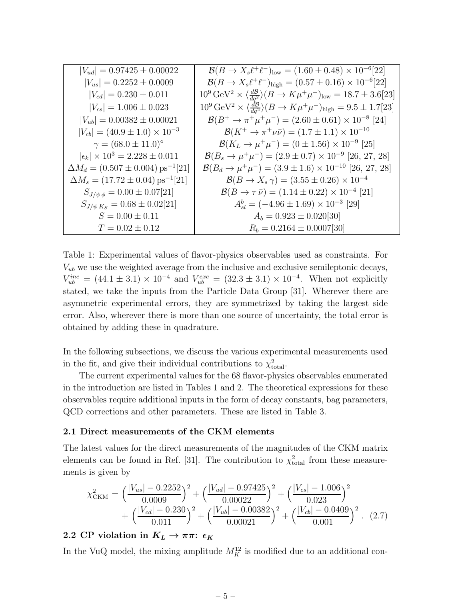| $ V_{ud}  = 0.97425 \pm 0.00022$                         | $\mathcal{B}(B \to X_s \ell^+ \ell^-)_{\text{low}} = (1.60 \pm 0.48) \times 10^{-6} [22]$                          |
|----------------------------------------------------------|--------------------------------------------------------------------------------------------------------------------|
| $ V_{us}  = 0.2252 \pm 0.0009$                           | $\mathcal{B}(B \to X_s \ell^+ \ell^-)_{\text{high}} = (0.57 \pm 0.16) \times 10^{-6} [22]$                         |
| $ V_{cd}  = 0.230 \pm 0.011$                             | $10^9 \,\text{GeV}^2 \times \langle \frac{dB}{da^2} \rangle (B \to K \mu^+ \mu^-)_{\text{low}} = 18.7 \pm 3.6[23]$ |
| $ V_{cs}  = 1.006 \pm 0.023$                             | $10^9 \,\text{GeV}^2 \times \left( \frac{dB}{da^2} \right) (B \to K \mu^+ \mu^-)_{\text{high}} = 9.5 \pm 1.7[23]$  |
| $ V_{ub}  = 0.00382 \pm 0.00021$                         | $\mathcal{B}(B^+\to \pi^+\mu^+\mu^-)=(2.60\pm 0.61)\times 10^{-8}$ [24]                                            |
| $ V_{cb}  = (40.9 \pm 1.0) \times 10^{-3}$               | $\mathcal{B}(K^+ \to \pi^+ \nu \bar{\nu}) = (1.7 \pm 1.1) \times 10^{-10}$                                         |
| $\gamma = (68.0 \pm 11.0)^{\circ}$                       | $\mathcal{B}(K_L \to \mu^+ \mu^-) = (0 \pm 1.56) \times 10^{-9}$ [25]                                              |
| $ \epsilon_k  \times 10^3 = 2.228 \pm 0.011$             | $\mathcal{B}(B_s \to \mu^+\mu^-) = (2.9 \pm 0.7) \times 10^{-9}$ [26, 27, 28]                                      |
| $\Delta M_d = (0.507 \pm 0.004) \,\mathrm{ps}^{-1} [21]$ | $\mathcal{B}(B_d \to \mu^+\mu^-) = (3.9 \pm 1.6) \times 10^{-10}$ [26, 27, 28]                                     |
| $\Delta M_s = (17.72 \pm 0.04) \,\text{ps}^{-1}[21]$     | $\mathcal{B}(B \to X_s \gamma) = (3.55 \pm 0.26) \times 10^{-4}$                                                   |
| $S_{J/\psi \phi} = 0.00 \pm 0.07[21]$                    | $\mathcal{B}(B \to \tau \bar{\nu}) = (1.14 \pm 0.22) \times 10^{-4}$ [21]                                          |
| $S_{J/\psi K_S} = 0.68 \pm 0.02[21]$                     | $A_{sl}^b = (-4.96 \pm 1.69) \times 10^{-3}$ [29]                                                                  |
| $S = 0.00 \pm 0.11$                                      | $A_b = 0.923 \pm 0.020[30]$                                                                                        |
| $T = 0.02 \pm 0.12$                                      | $R_b = 0.2164 \pm 0.0007[30]$                                                                                      |

Table 1: Experimental values of flavor-physics observables used as constraints. For  $V_{ub}$  we use the weighted average from the inclusive and exclusive semileptonic decays,  $V_{ub}^{inc} = (44.1 \pm 3.1) \times 10^{-4}$  and  $V_{ub}^{exc} = (32.3 \pm 3.1) \times 10^{-4}$ . When not explicitly stated, we take the inputs from the Particle Data Group [31]. Wherever there are asymmetric experimental errors, they are symmetrized by taking the largest side error. Also, wherever there is more than one source of uncertainty, the total error is obtained by adding these in quadrature.

In the following subsections, we discuss the various experimental measurements used in the fit, and give their individual contributions to  $\chi^2_{\text{total}}$ .

The current experimental values for the 68 flavor-physics observables enumerated in the introduction are listed in Tables 1 and 2. The theoretical expressions for these observables require additional inputs in the form of decay constants, bag parameters, QCD corrections and other parameters. These are listed in Table 3.

#### 2.1 Direct measurements of the CKM elements

The latest values for the direct measurements of the magnitudes of the CKM matrix elements can be found in Ref. [31]. The contribution to  $\chi^2_{\text{total}}$  from these measurements is given by

$$
\chi^2_{\text{CKM}} = \left(\frac{|V_{us}| - 0.2252}{0.0009}\right)^2 + \left(\frac{|V_{ud}| - 0.97425}{0.00022}\right)^2 + \left(\frac{|V_{cs}| - 1.006}{0.023}\right)^2 + \left(\frac{|V_{cd}| - 0.230}{0.011}\right)^2 + \left(\frac{|V_{ub}| - 0.00382}{0.00021}\right)^2 + \left(\frac{|V_{cb}| - 0.0409}{0.001}\right)^2. (2.7)
$$

### 2.2 CP violation in  $K_L \to \pi \pi$ :  $\epsilon_K$

In the VuQ model, the mixing amplitude  $M_K^{12}$  is modified due to an additional con-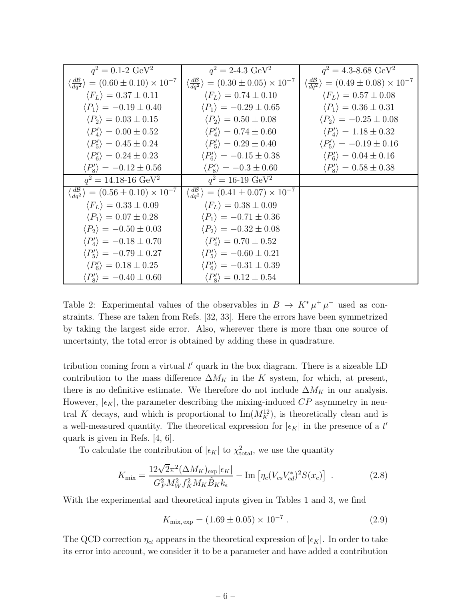| $q^2 = 0.1 - 2 \text{ GeV}^2$                                      | $q^2 = 2 - 4.3 \text{ GeV}^2$                                      | $q^2 = 4.3$ -8.68 GeV <sup>2</sup>                                 |
|--------------------------------------------------------------------|--------------------------------------------------------------------|--------------------------------------------------------------------|
| $\langle \frac{dB}{da^2} \rangle = (0.60 \pm 0.10) \times 10^{-7}$ | $\langle \frac{dB}{da^2} \rangle = (0.30 \pm 0.05) \times 10^{-7}$ | $\langle \frac{dB}{da^2} \rangle = (0.49 \pm 0.08) \times 10^{-7}$ |
| $\langle F_L \rangle = 0.37 \pm 0.11$                              | $\langle F_L \rangle = 0.74 \pm 0.10$                              | $\langle F_L \rangle = 0.57 \pm 0.08$                              |
| $\langle P_1 \rangle = -0.19 \pm 0.40$                             | $\langle P_1 \rangle = -0.29 \pm 0.65$                             | $\langle P_1 \rangle = 0.36 \pm 0.31$                              |
| $\langle P_2 \rangle = 0.03 \pm 0.15$                              | $\langle P_2 \rangle = 0.50 \pm 0.08$                              | $\langle P_2 \rangle = -0.25 \pm 0.08$                             |
| $\langle P_4' \rangle = 0.00 \pm 0.52$                             | $\langle P_4' \rangle = 0.74 \pm 0.60$                             | $\langle P_4' \rangle = 1.18 \pm 0.32$                             |
| $\langle P_5' \rangle = 0.45 \pm 0.24$                             | $\langle P_5' \rangle = 0.29 \pm 0.40$                             | $\langle P_5' \rangle = -0.19 \pm 0.16$                            |
| $\langle P_6' \rangle = 0.24 \pm 0.23$                             | $\langle P_6' \rangle = -0.15 \pm 0.38$                            | $\langle P_6' \rangle = 0.04 \pm 0.16$                             |
| $\langle P_8' \rangle = -0.12 \pm 0.56$                            | $\langle P_8' \rangle = -0.3 \pm 0.60$                             | $\langle P_8' \rangle = 0.58 \pm 0.38$                             |
| $q^2 = 14.18 - 16 \text{ GeV}^2$                                   | $q^2 = 16-19 \text{ GeV}^2$                                        |                                                                    |
| $\langle \frac{dB}{da^2} \rangle = (0.56 \pm 0.10) \times 10^{-7}$ | $\langle \frac{dB}{da^2} \rangle = (0.41 \pm 0.07) \times 10^{-7}$ |                                                                    |
| $\langle F_L \rangle = 0.33 \pm 0.09$                              | $\langle F_L \rangle = 0.38 \pm 0.09$                              |                                                                    |
| $\langle P_1 \rangle = 0.07 \pm 0.28$                              | $\langle P_1 \rangle = -0.71 \pm 0.36$                             |                                                                    |
| $\langle P_2 \rangle = -0.50 \pm 0.03$                             | $\langle P_2 \rangle = -0.32 \pm 0.08$                             |                                                                    |
| $\langle P_4' \rangle = -0.18 \pm 0.70$                            | $\langle P_4' \rangle = 0.70 \pm 0.52$                             |                                                                    |
| $\langle P_5' \rangle = -0.79 \pm 0.27$                            | $\langle P_5' \rangle = -0.60 \pm 0.21$                            |                                                                    |
| $\langle P_6' \rangle = 0.18 \pm 0.25$                             | $\langle P_6' \rangle = -0.31 \pm 0.39$                            |                                                                    |
| $\langle P_8' \rangle = -0.40 \pm 0.60$                            | $\langle P_8' \rangle = 0.12 \pm 0.54$                             |                                                                    |

Table 2: Experimental values of the observables in  $B \to K^* \mu^+ \mu^-$  used as constraints. These are taken from Refs. [32, 33]. Here the errors have been symmetrized by taking the largest side error. Also, wherever there is more than one source of uncertainty, the total error is obtained by adding these in quadrature.

tribution coming from a virtual  $t'$  quark in the box diagram. There is a sizeable LD contribution to the mass difference  $\Delta M_K$  in the K system, for which, at present, there is no definitive estimate. We therefore do not include  $\Delta M_K$  in our analysis. However,  $|\epsilon_K|$ , the parameter describing the mixing-induced CP asymmetry in neutral K decays, and which is proportional to  $\text{Im}(M_K^{12})$ , is theoretically clean and is a well-measured quantity. The theoretical expression for  $|\epsilon_K|$  in the presence of a  $t'$ quark is given in Refs. [4, 6].

To calculate the contribution of  $|\epsilon_K|$  to  $\chi^2_{\text{total}}$ , we use the quantity

$$
K_{\text{mix}} = \frac{12\sqrt{2}\pi^2 (\Delta M_K)_{\text{exp}} |\epsilon_K|}{G_F^2 M_W^2 f_K^2 M_K \hat{B}_K k_\epsilon} - \text{Im} \left[ \eta_c (V_{cs} V_{cd}^*)^2 S(x_c) \right] \ . \tag{2.8}
$$

With the experimental and theoretical inputs given in Tables 1 and 3, we find

$$
K_{\text{mix, exp}} = (1.69 \pm 0.05) \times 10^{-7} . \tag{2.9}
$$

The QCD correction  $\eta_{ct}$  appears in the theoretical expression of  $|\epsilon_K|$ . In order to take its error into account, we consider it to be a parameter and have added a contribution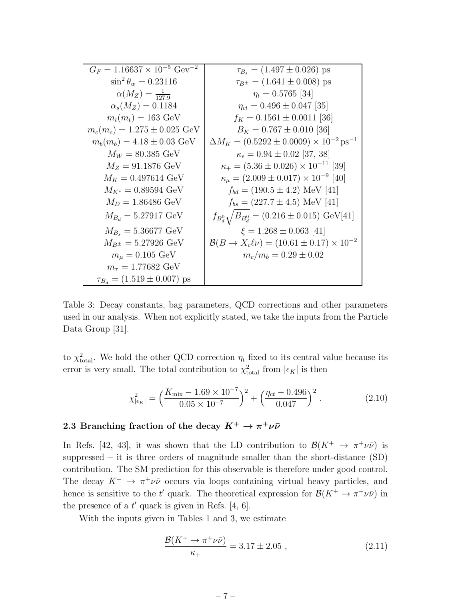| $G_F = 1.16637 \times 10^{-5}$ Gev <sup>-2</sup> | $\tau_{B_s} = (1.497 \pm 0.026)$ ps                                 |
|--------------------------------------------------|---------------------------------------------------------------------|
| $\sin^2 \theta_w = 0.23116$                      | $\tau_{B^{\pm}} = (1.641 \pm 0.008)$ ps                             |
| $\alpha(M_Z) = \frac{1}{127.9}$                  | $\eta_t = 0.5765$ [34]                                              |
| $\alpha_s(M_Z) = 0.1184$                         | $\eta_{ct} = 0.496 \pm 0.047$ [35]                                  |
| $m_t(m_t) = 163 \text{ GeV}$                     | $f_K = 0.1561 \pm 0.0011$ [36]                                      |
| $m_c(m_c) = 1.275 \pm 0.025$ GeV                 | $B_K = 0.767 \pm 0.010$ [36]                                        |
| $m_b(m_b) = 4.18 \pm 0.03$ GeV                   | $\Delta M_K = (0.5292 \pm 0.0009) \times 10^{-2} \,\text{ps}^{-1}$  |
| $M_W = 80.385 \text{ GeV}$                       | $\kappa_{\epsilon} = 0.94 \pm 0.02$ [37, 38]                        |
| $M_Z = 91.1876 \text{ GeV}$                      | $\kappa_+ = (5.36 \pm 0.026) \times 10^{-11}$ [39]                  |
| $M_K = 0.497614 \text{ GeV}$                     | $\kappa_{\mu} = (2.009 \pm 0.017) \times 10^{-9}$ [40]              |
| $M_{K^*} = 0.89594 \text{ GeV}$                  | $f_{bd} = (190.5 \pm 4.2)$ MeV [41]                                 |
| $M_D = 1.86486 \text{ GeV}$                      | $f_{bs} = (227.7 \pm 4.5)$ MeV [41]                                 |
| $M_{B_d} = 5.27917 \text{ GeV}$                  | $f_{B_d^0}$ $\sqrt{B_{B_d^0}}$ = (0.216 ± 0.015) GeV[41]            |
| $M_{B_s} = 5.36677 \text{ GeV}$                  | $\xi = 1.268 \pm 0.063$ [41]                                        |
| $M_{B^{\pm}} = 5.27926 \text{ GeV}$              | $\mathcal{B}(B \to X_c \ell \nu) = (10.61 \pm 0.17) \times 10^{-2}$ |
| $m_{\mu} = 0.105 \text{ GeV}$                    | $m_c/m_b = 0.29 \pm 0.02$                                           |
| $m_{\tau} = 1.77682 \text{ GeV}$                 |                                                                     |
| $\tau_{B_d} = (1.519 \pm 0.007)$ ps              |                                                                     |

Table 3: Decay constants, bag parameters, QCD corrections and other parameters used in our analysis. When not explicitly stated, we take the inputs from the Particle Data Group [31].

to  $\chi^2_{\text{total}}$ . We hold the other QCD correction  $\eta_t$  fixed to its central value because its error is very small. The total contribution to  $\chi^2_{\text{total}}$  from  $|\epsilon_K|$  is then

$$
\chi^2_{|\epsilon_K|} = \left(\frac{K_{\text{mix}} - 1.69 \times 10^{-7}}{0.05 \times 10^{-7}}\right)^2 + \left(\frac{\eta_{ct} - 0.496}{0.047}\right)^2. \tag{2.10}
$$

### 2.3 Branching fraction of the decay  $K^+ \to \pi^+ \nu \bar{\nu}$

In Refs. [42, 43], it was shown that the LD contribution to  $\mathcal{B}(K^+ \to \pi^+ \nu \bar{\nu})$  is suppressed – it is three orders of magnitude smaller than the short-distance (SD) contribution. The SM prediction for this observable is therefore under good control. The decay  $K^+ \to \pi^+ \nu \bar{\nu}$  occurs via loops containing virtual heavy particles, and hence is sensitive to the t' quark. The theoretical expression for  $\mathcal{B}(K^+ \to \pi^+ \nu \bar{\nu})$  in the presence of a  $t'$  quark is given in Refs. [4, 6].

With the inputs given in Tables 1 and 3, we estimate

$$
\frac{\mathcal{B}(K^+ \to \pi^+ \nu \bar{\nu})}{\kappa_+} = 3.17 \pm 2.05 , \qquad (2.11)
$$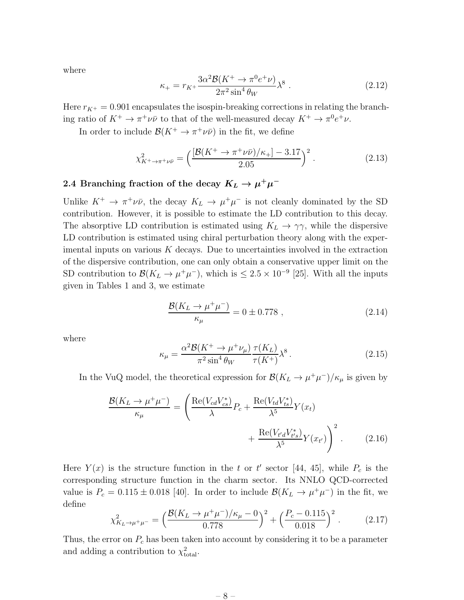where

$$
\kappa_{+} = r_{K^{+}} \frac{3\alpha^{2} \mathcal{B}(K^{+} \to \pi^{0} e^{+} \nu)}{2\pi^{2} \sin^{4} \theta_{W}} \lambda^{8} . \qquad (2.12)
$$

Here  $r_{K^+} = 0.901$  encapsulates the isospin-breaking corrections in relating the branching ratio of  $K^+ \to \pi^+ \nu \bar{\nu}$  to that of the well-measured decay  $K^+ \to \pi^0 e^+ \nu$ .

In order to include  $\mathcal{B}(K^+ \to \pi^+ \nu \bar{\nu})$  in the fit, we define

$$
\chi^2_{K^+ \to \pi^+ \nu \bar{\nu}} = \left( \frac{[\mathcal{B}(K^+ \to \pi^+ \nu \bar{\nu})/\kappa_+] - 3.17}{2.05} \right)^2. \tag{2.13}
$$

### 2.4 Branching fraction of the decay  $K_L \rightarrow \mu^+ \mu^-$

Unlike  $K^+ \to \pi^+ \nu \bar{\nu}$ , the decay  $K_L \to \mu^+ \mu^-$  is not cleanly dominated by the SD contribution. However, it is possible to estimate the LD contribution to this decay. The absorptive LD contribution is estimated using  $K_L \rightarrow \gamma \gamma$ , while the dispersive LD contribution is estimated using chiral perturbation theory along with the experimental inputs on various  $K$  decays. Due to uncertainties involved in the extraction of the dispersive contribution, one can only obtain a conservative upper limit on the SD contribution to  $\mathcal{B}(K_L \to \mu^+\mu^-)$ , which is  $\leq 2.5 \times 10^{-9}$  [25]. With all the inputs given in Tables 1 and 3, we estimate

$$
\frac{\mathcal{B}(K_L \to \mu^+ \mu^-)}{\kappa_\mu} = 0 \pm 0.778 , \qquad (2.14)
$$

where

$$
\kappa_{\mu} = \frac{\alpha^2 \mathcal{B}(K^+ \to \mu^+ \nu_{\mu})}{\pi^2 \sin^4 \theta_W} \frac{\tau(K_L)}{\tau(K^+)} \lambda^8.
$$
\n(2.15)

In the VuQ model, the theoretical expression for  $\mathcal{B}(K_L \to \mu^+ \mu^-)/\kappa_\mu$  is given by

$$
\frac{\mathcal{B}(K_L \to \mu^+ \mu^-)}{\kappa_\mu} = \left(\frac{\text{Re}(V_{cd}V_{cs}^*)}{\lambda}P_c + \frac{\text{Re}(V_{td}V_{ts}^*)}{\lambda^5}Y(x_t) + \frac{\text{Re}(V_{t'd}V_{t's}^*)}{\lambda^5}Y(x_{t'})\right)^2.
$$
(2.16)

Here  $Y(x)$  is the structure function in the t or t' sector [44, 45], while  $P_c$  is the corresponding structure function in the charm sector. Its NNLO QCD-corrected value is  $P_c = 0.115 \pm 0.018$  [40]. In order to include  $\mathcal{B}(K_L \to \mu^+ \mu^-)$  in the fit, we define

$$
\chi_{K_L \to \mu^+ \mu^-}^2 = \left(\frac{\mathcal{B}(K_L \to \mu^+ \mu^-)/\kappa_\mu - 0}{0.778}\right)^2 + \left(\frac{P_c - 0.115}{0.018}\right)^2. \tag{2.17}
$$

Thus, the error on  $P_c$  has been taken into account by considering it to be a parameter and adding a contribution to  $\chi^2_{\text{total}}$ .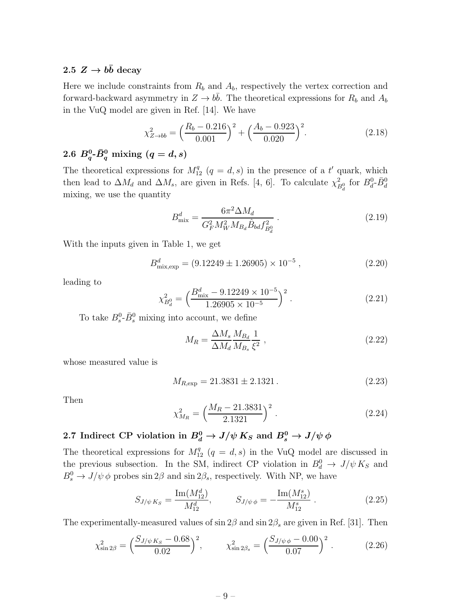### 2.5  $Z \rightarrow b\bar{b}$  decay

Here we include constraints from  $R_b$  and  $A_b$ , respectively the vertex correction and forward-backward asymmetry in  $Z \to b\bar{b}$ . The theoretical expressions for  $R_b$  and  $A_b$ in the VuQ model are given in Ref. [14]. We have

$$
\chi_{Z \to bb}^2 = \left(\frac{R_b - 0.216}{0.001}\right)^2 + \left(\frac{A_b - 0.923}{0.020}\right)^2. \tag{2.18}
$$

## 2.6  $B_q^0$ - $\bar{B}_q^0$  mixing  $(q=d,s)$

The theoretical expressions for  $M_{12}^q$   $(q = d, s)$  in the presence of a t' quark, which then lead to  $\Delta M_d$  and  $\Delta M_s$ , are given in Refs. [4, 6]. To calculate  $\chi^2_{B_d^0}$  for  $B_d^0$ - $\bar{B}_d^0$ mixing, we use the quantity

$$
B_{\text{mix}}^d = \frac{6\pi^2 \Delta M_d}{G_F^2 M_W^2 M_{B_d} \hat{B}_{bd} f_{B_d}^2} \,. \tag{2.19}
$$

With the inputs given in Table 1, we get

$$
B_{\text{mix,exp}}^d = (9.12249 \pm 1.26905) \times 10^{-5} , \qquad (2.20)
$$

leading to

$$
\chi_{B_d^0}^2 = \left(\frac{B_{\text{mix}}^d - 9.12249 \times 10^{-5}}{1.26905 \times 10^{-5}}\right)^2.
$$
\n(2.21)

To take  $B_s^0$ - $\bar{B}_s^0$  mixing into account, we define

$$
M_R = \frac{\Delta M_s}{\Delta M_d} \frac{M_{B_d}}{M_{B_s}} \frac{1}{\xi^2} \,,\tag{2.22}
$$

whose measured value is

$$
M_{R, \text{exp}} = 21.3831 \pm 2.1321 \,. \tag{2.23}
$$

Then

$$
\chi^2_{M_R} = \left(\frac{M_R - 21.3831}{2.1321}\right)^2.
$$
\n(2.24)

2.7 Indirect CP violation in  $B^0_d \rightarrow J/\psi \, K_S$  and  $B^0_s \rightarrow J/\psi \, \phi$ 

The theoretical expressions for  $M_{12}^q$   $(q = d, s)$  in the VuQ model are discussed in the previous subsection. In the SM, indirect CP violation in  $B_d^0 \to J/\psi K_S$  and  $B_s^0 \to J/\psi \phi$  probes sin 2 $\beta$  and sin 2 $\beta_s$ , respectively. With NP, we have

$$
S_{J/\psi K_S} = \frac{\text{Im}(M_{12}^d)}{M_{12}^d}, \qquad S_{J/\psi \phi} = -\frac{\text{Im}(M_{12}^s)}{M_{12}^s} \,. \tag{2.25}
$$

The experimentally-measured values of sin  $2\beta$  and sin  $2\beta_s$  are given in Ref. [31]. Then

$$
\chi_{\sin 2\beta}^2 = \left(\frac{S_{J/\psi K_S} - 0.68}{0.02}\right)^2, \qquad \chi_{\sin 2\beta_s}^2 = \left(\frac{S_{J/\psi \phi} - 0.00}{0.07}\right)^2. \tag{2.26}
$$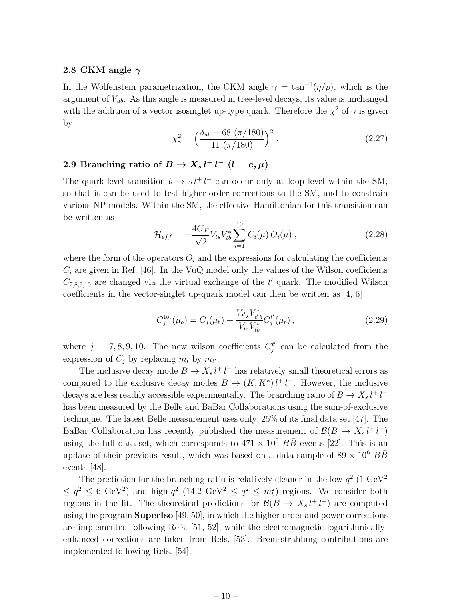#### 2.8 CKM angle  $\gamma$

In the Wolfenstein parametrization, the CKM angle  $\gamma = \tan^{-1}(\eta/\rho)$ , which is the argument of  $V_{ub}$ . As this angle is measured in tree-level decays, its value is unchanged with the addition of a vector isosinglet up-type quark. Therefore the  $\chi^2$  of  $\gamma$  is given by

$$
\chi_{\gamma}^{2} = \left(\frac{\delta_{ub} - 68 \ (\pi/180)}{11 \ (\pi/180)}\right)^{2}.
$$
 (2.27)

### 2.9 Branching ratio of  $B \to X_s l^+ l^ (l = e, \mu)$

The quark-level transition  $b \to s l^+ l^-$  can occur only at loop level within the SM, so that it can be used to test higher-order corrections to the SM, and to constrain various NP models. Within the SM, the effective Hamiltonian for this transition can be written as

$$
\mathcal{H}_{eff} = -\frac{4G_F}{\sqrt{2}} V_{ts} V_{tb}^* \sum_{i=1}^{10} C_i(\mu) O_i(\mu) , \qquad (2.28)
$$

where the form of the operators  $O_i$  and the expressions for calculating the coefficients  $C_i$  are given in Ref. [46]. In the VuQ model only the values of the Wilson coefficients  $C_{7,8,9,10}$  are changed via the virtual exchange of the  $t'$  quark. The modified Wilson coefficients in the vector-singlet up-quark model can then be written as [4, 6]

$$
C_j^{\text{tot}}(\mu_b) = C_j(\mu_b) + \frac{V_{t's} V_{t'b}^*}{V_{ts} V_{tb}^*} C_j^{t'}(\mu_b), \qquad (2.29)
$$

where  $j = 7, 8, 9, 10$ . The new wilson coefficients  $C_j^{t'}$  $j'$  can be calculated from the expression of  $C_j$  by replacing  $m_t$  by  $m_{t'}$ .

The inclusive decay mode  $B \to X_s l^+ l^-$  has relatively small theoretical errors as compared to the exclusive decay modes  $B \to (K, K^*) l^+ l^-$ . However, the inclusive decays are less readily accessible experimentally. The branching ratio of  $B \to X_s l^+ l^$ has been measured by the Belle and BaBar Collaborations using the sum-of-exclusive technique. The latest Belle measurement uses only 25% of its final data set [47]. The BaBar Collaboration has recently published the measurement of  $\mathcal{B}(B \to X_s l^+ l^-)$ using the full data set, which corresponds to  $471 \times 10^6$   $B\overline{B}$  events [22]. This is an update of their previous result, which was based on a data sample of  $89 \times 10^6$   $B\overline{B}$ events [48].

The prediction for the branching ratio is relatively cleaner in the low- $q^2$  (1 GeV<sup>2</sup>)  $\leq q^2 \leq 6$  GeV<sup>2</sup>) and high- $q^2$  (14.2 GeV<sup>2</sup>  $\leq q^2 \leq m_b^2$ ) regions. We consider both regions in the fit. The theoretical predictions for  $\mathcal{B}(B \to X_s l^+ l^-)$  are computed using the program **SuperIso**  $|49, 50|$ , in which the higher-order and power corrections are implemented following Refs. [51, 52], while the electromagnetic logarithmicallyenhanced corrections are taken from Refs. [53]. Bremsstrahlung contributions are implemented following Refs. [54].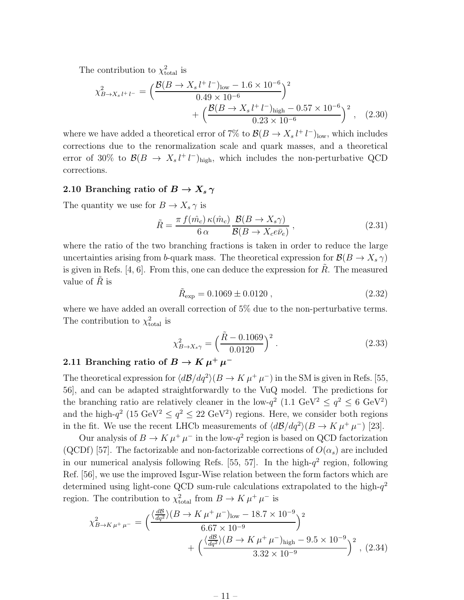The contribution to  $\chi^2_{\text{total}}$  is

$$
\chi_{B \to X_s l^+ l^-}^2 = \left( \frac{\mathcal{B}(B \to X_s l^+ l^-)_{\text{low}} - 1.6 \times 10^{-6}}{0.49 \times 10^{-6}} \right)^2 + \left( \frac{\mathcal{B}(B \to X_s l^+ l^-)_{\text{high}} - 0.57 \times 10^{-6}}{0.23 \times 10^{-6}} \right)^2, \quad (2.30)
$$

where we have added a theoretical error of 7% to  $\mathcal{B}(B \to X_s l^+ l^-)_{\text{low}}$ , which includes corrections due to the renormalization scale and quark masses, and a theoretical error of 30% to  $\mathcal{B}(B \to X_s l^+ l^-)_{\text{high}}$ , which includes the non-perturbative QCD corrections.

### 2.10 Branching ratio of  $B \to X_s \gamma$

The quantity we use for  $B \to X_s \gamma$  is

$$
\tilde{R} = \frac{\pi f(\hat{m}_c) \kappa(\hat{m}_c)}{6 \alpha} \frac{\mathcal{B}(B \to X_s \gamma)}{\mathcal{B}(B \to X_c e \bar{\nu}_e)},
$$
\n(2.31)

where the ratio of the two branching fractions is taken in order to reduce the large uncertainties arising from b-quark mass. The theoretical expression for  $\mathcal{B}(B \to X_s \gamma)$ is given in Refs.  $[4, 6]$ . From this, one can deduce the expression for R. The measured value of  $R$  is

$$
\tilde{R}_{\exp} = 0.1069 \pm 0.0120 , \qquad (2.32)
$$

where we have added an overall correction of 5% due to the non-perturbative terms. The contribution to  $\chi^2_{\text{total}}$  is

$$
\chi_{B \to X_s \gamma}^2 = \left(\frac{\tilde{R} - 0.1069}{0.0120}\right)^2.
$$
\n(2.33)

### 2.11 Branching ratio of  $B \to K \mu^+ \mu^-$

The theoretical expression for  $\langle d\mathcal{B}/dq^2 \rangle(B \to K \mu^+ \mu^-)$  in the SM is given in Refs. [55, 56], and can be adapted straightforwardly to the VuQ model. The predictions for the branching ratio are relatively cleaner in the low- $q^2$  (1.1 GeV<sup>2</sup>  $\leq q^2 \leq 6$  GeV<sup>2</sup>) and the high- $q^2$  (15 GeV<sup>2</sup>  $\leq$   $q^2 \leq 22$  GeV<sup>2</sup>) regions. Here, we consider both regions in the fit. We use the recent LHCb measurements of  $\langle d\mathcal{B}/dq^2 \rangle(B \to K \mu^+ \mu^-)$  [23].

Our analysis of  $B \to K \mu^+ \mu^-$  in the low- $q^2$  region is based on QCD factorization (QCDf) [57]. The factorizable and non-factorizable corrections of  $O(\alpha_s)$  are included in our numerical analysis following Refs. [55, 57]. In the high- $q^2$  region, following Ref. [56], we use the improved Isgur-Wise relation between the form factors which are determined using light-cone QCD sum-rule calculations extrapolated to the high- $q^2$ region. The contribution to  $\chi^2_{\text{total}}$  from  $B \to K \mu^+ \mu^-$  is

$$
\chi_{B \to K\,\mu^{+}\,\mu^{-}}^{2} = \left(\frac{\langle \frac{dB}{dq^2} \rangle (B \to K\,\mu^{+}\,\mu^{-})_{\text{low}} - 18.7 \times 10^{-9}}{6.67 \times 10^{-9}}\right)^{2} + \left(\frac{\langle \frac{dB}{dq^2} \rangle (B \to K\,\mu^{+}\,\mu^{-})_{\text{high}} - 9.5 \times 10^{-9}}{3.32 \times 10^{-9}}\right)^{2}, (2.34)
$$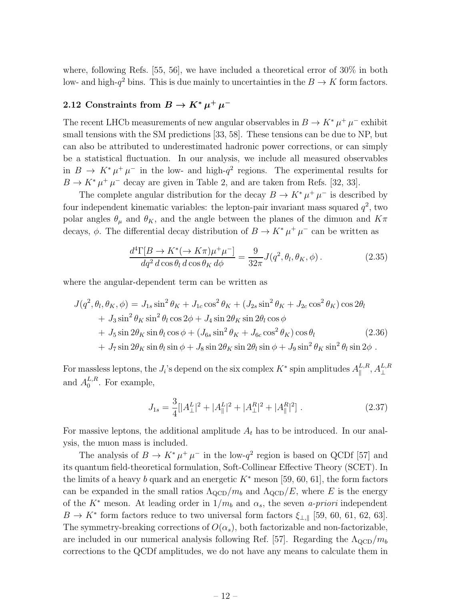where, following Refs. [55, 56], we have included a theoretical error of 30% in both low- and high- $q^2$  bins. This is due mainly to uncertainties in the  $B \to K$  form factors.

### 2.12 Constraints from  $B \to K^* \mu^+ \mu^-$

The recent LHCb measurements of new angular observables in  $B \to K^* \mu^+ \mu^-$  exhibit small tensions with the SM predictions [33, 58]. These tensions can be due to NP, but can also be attributed to underestimated hadronic power corrections, or can simply be a statistical fluctuation. In our analysis, we include all measured observables in  $B \to K^* \mu^+ \mu^-$  in the low- and high- $q^2$  regions. The experimental results for  $B \to K^* \mu^+ \mu^-$  decay are given in Table 2, and are taken from Refs. [32, 33].

The complete angular distribution for the decay  $B \to K^* \mu^+ \mu^-$  is described by four independent kinematic variables: the lepton-pair invariant mass squared  $q^2$ , two polar angles  $\theta_{\mu}$  and  $\theta_{K}$ , and the angle between the planes of the dimuon and  $K\pi$ decays,  $\phi$ . The differential decay distribution of  $B \to K^* \mu^+ \mu^-$  can be written as

$$
\frac{d^4\Gamma[B \to K^*(\to K\pi)\mu^+\mu^-]}{dq^2 \, d\cos\theta_l \, d\cos\theta_K \, d\phi} = \frac{9}{32\pi} J(q^2, \theta_l, \theta_K, \phi) \,. \tag{2.35}
$$

where the angular-dependent term can be written as

$$
J(q^2, \theta_l, \theta_K, \phi) = J_{1s} \sin^2 \theta_K + J_{1c} \cos^2 \theta_K + (J_{2s} \sin^2 \theta_K + J_{2c} \cos^2 \theta_K) \cos 2\theta_l
$$
  
+ 
$$
J_3 \sin^2 \theta_K \sin^2 \theta_l \cos 2\phi + J_4 \sin 2\theta_K \sin 2\theta_l \cos \phi
$$
  
+ 
$$
J_5 \sin 2\theta_K \sin \theta_l \cos \phi + (J_{6s} \sin^2 \theta_K + J_{6c} \cos^2 \theta_K) \cos \theta_l
$$
 (2.36)  
+ 
$$
J_7 \sin 2\theta_K \sin \theta_l \sin \phi + J_8 \sin 2\theta_K \sin 2\theta_l \sin \phi + J_9 \sin^2 \theta_K \sin^2 \theta_l \sin 2\phi.
$$

For massless leptons, the  $J_i$ 's depend on the six complex  $K^*$  spin amplitudes  $A_{\parallel}^{L,R}$  $_{\parallel}^{L,R},A_{\perp}^{L,R}$ and  $A_0^{L,R}$  $_{0}^{L,R}$ . For example,

$$
J_{1s} = \frac{3}{4} [ |A_{\perp}^{L}|^{2} + |A_{\parallel}^{L}|^{2} + |A_{\perp}^{R}|^{2} + |A_{\parallel}^{R}|^{2} ]. \qquad (2.37)
$$

For massive leptons, the additional amplitude  $A_t$  has to be introduced. In our analysis, the muon mass is included.

The analysis of  $B \to K^* \mu^+ \mu^-$  in the low- $q^2$  region is based on QCDf [57] and its quantum field-theoretical formulation, Soft-Collinear Effective Theory (SCET). In the limits of a heavy b quark and an energetic  $K^*$  meson [59, 60, 61], the form factors can be expanded in the small ratios  $\Lambda_{\rm QCD}/m_b$  and  $\Lambda_{\rm QCD}/E$ , where E is the energy of the  $K^*$  meson. At leading order in  $1/m_b$  and  $\alpha_s$ , the seven *a-priori* independent  $B \to K^*$  form factors reduce to two universal form factors  $\xi_{\perp,\parallel}$  [59, 60, 61, 62, 63]. The symmetry-breaking corrections of  $O(\alpha_s)$ , both factorizable and non-factorizable, are included in our numerical analysis following Ref. [57]. Regarding the  $\Lambda_{\rm QCD}/m_b$ corrections to the QCDf amplitudes, we do not have any means to calculate them in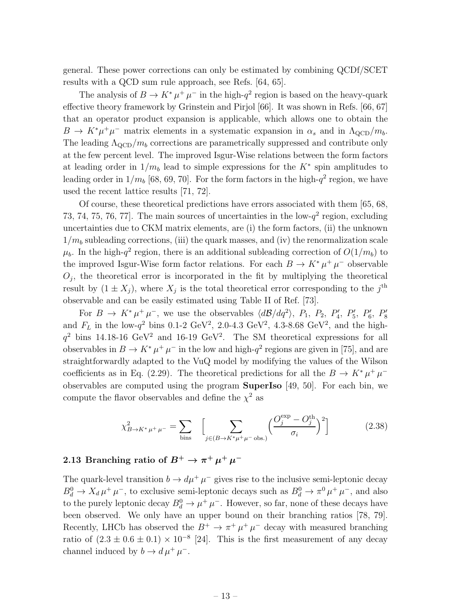general. These power corrections can only be estimated by combining QCDf/SCET results with a QCD sum rule approach, see Refs. [64, 65].

The analysis of  $B \to K^* \mu^+ \mu^-$  in the high- $q^2$  region is based on the heavy-quark effective theory framework by Grinstein and Pirjol [66]. It was shown in Refs. [66, 67] that an operator product expansion is applicable, which allows one to obtain the  $B \to K^* \mu^+ \mu^-$  matrix elements in a systematic expansion in  $\alpha_s$  and in  $\Lambda_{\rm QCD}/m_b$ . The leading  $\Lambda_{\text{QCD}}/m_b$  corrections are parametrically suppressed and contribute only at the few percent level. The improved Isgur-Wise relations between the form factors at leading order in  $1/m_b$  lead to simple expressions for the  $K^*$  spin amplitudes to leading order in  $1/m_b$  [68, 69, 70]. For the form factors in the high- $q^2$  region, we have used the recent lattice results [71, 72].

Of course, these theoretical predictions have errors associated with them [65, 68, 73, 74, 75, 76, 77. The main sources of uncertainties in the low- $q^2$  region, excluding uncertainties due to CKM matrix elements, are (i) the form factors, (ii) the unknown  $1/m_b$  subleading corrections, (iii) the quark masses, and (iv) the renormalization scale  $\mu_b$ . In the high- $q^2$  region, there is an additional subleading correction of  $O(1/m_b)$  to the improved Isgur-Wise form factor relations. For each  $B \to K^* \mu^+ \mu^-$  observable  $O_j$ , the theoretical error is incorporated in the fit by multiplying the theoretical result by  $(1 \pm X_j)$ , where  $X_j$  is the total theoretical error corresponding to the  $j^{\text{th}}$ observable and can be easily estimated using Table II of Ref. [73].

For  $B \to K^* \mu^+ \mu^-$ , we use the observables  $\langle d\mathcal{B}/dq^2 \rangle$ ,  $P_1$ ,  $P_2$ ,  $P'_4$ ,  $P'_5$ ,  $P'_6$ ,  $P'_8$ and  $F_L$  in the low- $q^2$  bins 0.1-2 GeV<sup>2</sup>, 2.0-4.3 GeV<sup>2</sup>, 4.3-8.68 GeV<sup>2</sup>, and the high $q^2$  bins 14.18-16 GeV<sup>2</sup> and 16-19 GeV<sup>2</sup>. The SM theoretical expressions for all observables in  $B \to K^* \mu^+ \mu^-$  in the low and high- $q^2$  regions are given in [75], and are straightforwardly adapted to the VuQ model by modifying the values of the Wilson coefficients as in Eq. (2.29). The theoretical predictions for all the  $B \to K^* \mu^+ \mu^$ observables are computed using the program **SuperIso**  $[49, 50]$ . For each bin, we compute the flavor observables and define the  $\chi^2$  as

$$
\chi_{B \to K^* \mu^+ \mu^-}^2 = \sum_{\text{bins}} \left[ \sum_{j \in (B \to K^* \mu^+ \mu^- \text{ obs.})} \left( \frac{O_j^{\text{exp}} - O_j^{\text{th}}}{\sigma_i} \right)^2 \right]
$$
(2.38)

### 2.13 Branching ratio of  $B^+ \to \pi^+ \mu^+ \mu^-$

The quark-level transition  $b \to d\mu^+ \mu^-$  gives rise to the inclusive semi-leptonic decay  $B_d^0 \to X_d \mu^+ \mu^-$ , to exclusive semi-leptonic decays such as  $B_d^0 \to \pi^0 \mu^+ \mu^-$ , and also to the purely leptonic decay  $B_d^0 \to \mu^+ \mu^-$ . However, so far, none of these decays have been observed. We only have an upper bound on their branching ratios [78, 79]. Recently, LHCb has observed the  $B^+ \to \pi^+ \mu^+ \mu^-$  decay with measured branching ratio of  $(2.3 \pm 0.6 \pm 0.1) \times 10^{-8}$  [24]. This is the first measurement of any decay channel induced by  $b \to d \mu^+ \mu^-$ .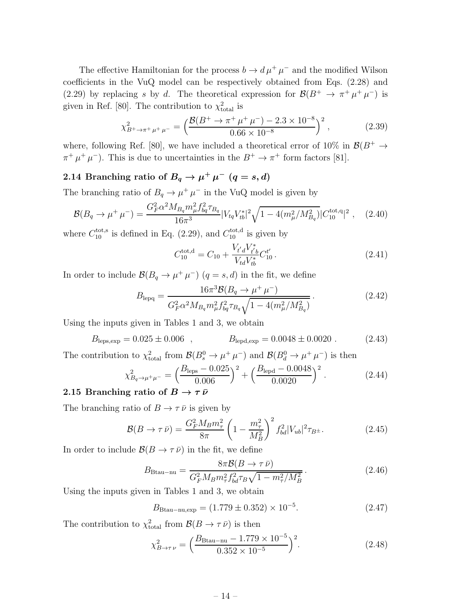The effective Hamiltonian for the process  $b \to d \mu^+ \mu^-$  and the modified Wilson coefficients in the VuQ model can be respectively obtained from Eqs. (2.28) and (2.29) by replacing s by d. The theoretical expression for  $\mathcal{B}(B^+ \to \pi^+ \mu^+ \mu^-)$  is given in Ref. [80]. The contribution to  $\chi^2_{\text{total}}$  is

$$
\chi_{B^+\to\pi^+\mu^+\mu^-}^2 = \left(\frac{\mathcal{B}(B^+\to\pi^+\mu^+\mu^-) - 2.3 \times 10^{-8}}{0.66 \times 10^{-8}}\right)^2, \tag{2.39}
$$

where, following Ref. [80], we have included a theoretical error of 10% in  $\mathcal{B}(B^+ \to$  $\pi^+ \mu^+ \mu^-$ ). This is due to uncertainties in the  $B^+ \to \pi^+$  form factors [81].

### 2.14 Branching ratio of  $B_q \to \mu^+ \, \mu^ (q=s,d)$

The branching ratio of  $B_q \to \mu^+ \mu^-$  in the VuQ model is given by

$$
\mathcal{B}(B_q \to \mu^+ \mu^-) = \frac{G_F^2 \alpha^2 M_{B_q} m_\mu^2 f_{bq}^2 \tau_{B_q}}{16\pi^3} |V_{tq} V_{tb}^*|^2 \sqrt{1 - 4(m_\mu^2 / M_{B_q}^2)} |C_{10}^{\text{tot},q}|^2 , \quad (2.40)
$$

where  $C_{10}^{\text{tot,s}}$  is defined in Eq. (2.29), and  $C_{10}^{\text{tot,d}}$  is given by

$$
C_{10}^{\text{tot,d}} = C_{10} + \frac{V_{t'd}V_{t'b}^*}{V_{td}V_{tb}^*}C_{10}^{t'}.
$$
\n(2.41)

In order to include  $\mathcal{B}(B_q \to \mu^+ \mu^-)$   $(q = s, d)$  in the fit, we define

$$
B_{\text{lepq}} = \frac{16\pi^3 \mathcal{B}(B_q \to \mu^+ \mu^-)}{G_F^2 \alpha^2 M_{B_q} m_\mu^2 f_{bq}^2 \tau_{B_q} \sqrt{1 - 4(m_\mu^2 / M_{B_q}^2)}}.
$$
(2.42)

Using the inputs given in Tables 1 and 3, we obtain

$$
B_{\text{leps,exp}} = 0.025 \pm 0.006 \quad , \qquad B_{\text{lepd,exp}} = 0.0048 \pm 0.0020 \quad . \tag{2.43}
$$

The contribution to  $\chi^2_{\text{total}}$  from  $\mathcal{B}(B_s^0 \to \mu^+ \mu^-)$  and  $\mathcal{B}(B_d^0 \to \mu^+ \mu^-)$  is then

$$
\chi_{B_q \to \mu^+\mu^-}^2 = \left(\frac{B_{\text{leps}} - 0.025}{0.006}\right)^2 + \left(\frac{B_{\text{lepd}} - 0.0048}{0.0020}\right)^2. \tag{2.44}
$$

#### 2.15 Branching ratio of  $B \to \tau \bar{\nu}$

The branching ratio of  $B\to\tau\,\bar\nu$  is given by

$$
\mathcal{B}(B \to \tau \bar{\nu}) = \frac{G_F^2 M_B m_\tau^2}{8\pi} \left(1 - \frac{m_\tau^2}{M_B^2}\right)^2 f_{bd}^2 |V_{ub}|^2 \tau_{B^{\pm}}.
$$
 (2.45)

In order to include  $\mathcal{B}(B \to \tau \bar{\nu})$  in the fit, we define

$$
B_{\text{Btau-mu}} = \frac{8\pi \mathcal{B}(B \to \tau \bar{\nu})}{G_F^2 M_B m_\tau^2 f_{bd}^2 \tau_B \sqrt{1 - m_\tau^2 / M_B^2}}.
$$
(2.46)

Using the inputs given in Tables 1 and 3, we obtain

$$
B_{\text{Btau-nu,exp}} = (1.779 \pm 0.352) \times 10^{-5}.
$$
 (2.47)

The contribution to  $\chi^2_{\text{total}}$  from  $\mathcal{B}(B \to \tau \bar{\nu})$  is then

$$
\chi_{B \to \tau \nu}^2 = \left(\frac{B_{\text{Btau-mu}} - 1.779 \times 10^{-5}}{0.352 \times 10^{-5}}\right)^2. \tag{2.48}
$$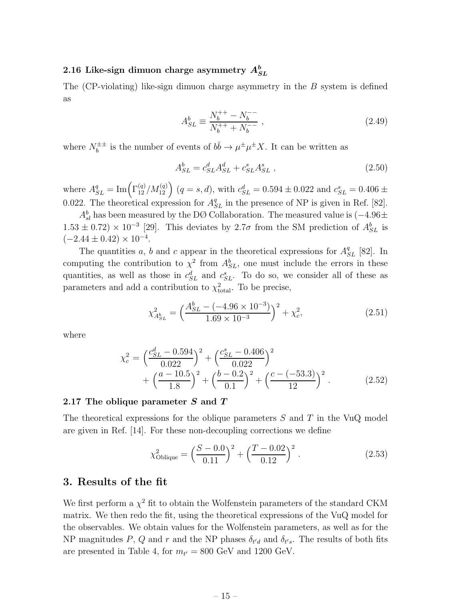### 2.16 Like-sign dimuon charge asymmetry  $A^b_{SL}$

The  $(CP\text{-violating})$  like-sign dimuon charge asymmetry in the B system is defined as

$$
A_{SL}^b \equiv \frac{N_b^{++} - N_b^{--}}{N_b^{++} + N_b^{--}} , \qquad (2.49)
$$

where  $N_h^{\pm\pm}$ <sup> $\pm \pm i$ </sup> is the number of events of  $b\bar{b} \to \mu^{\pm} \mu^{\pm} X$ . It can be written as

$$
A_{SL}^b = c_{SL}^d A_{SL}^d + c_{SL}^s A_{SL}^s ,\qquad (2.50)
$$

where  $A_{SL}^q = \text{Im}\left(\Gamma_{12}^{(q)}/M_{12}^{(q)}\right)$   $(q = s, d)$ , with  $c_{SL}^d = 0.594 \pm 0.022$  and  $c_{SL}^s = 0.406 \pm 0.022$ 0.022. The theoretical expression for  $A_{SL}^q$  in the presence of NP is given in Ref. [82].

 $A_{sl}^b$  has been measured by the DØ Collaboration. The measured value is  $(-4.96\pm)$  $1.53 \pm 0.72$ ) ×  $10^{-3}$  [29]. This deviates by  $2.7\sigma$  from the SM prediction of  $A_{SL}^{b}$  is  $(-2.44 \pm 0.42) \times 10^{-4}$ .

The quantities a, b and c appear in the theoretical expressions for  $A_{SL}^q$  [82]. In computing the contribution to  $\chi^2$  from  $A_{SL}^b$ , one must include the errors in these quantities, as well as those in  $c_{SL}^d$  and  $c_{SL}^s$ . To do so, we consider all of these as parameters and add a contribution to  $\chi^2_{\text{total}}$ . To be precise,

$$
\chi_{A_{SL}^b}^2 = \left(\frac{A_{SL}^b - (-4.96 \times 10^{-3})}{1.69 \times 10^{-3}}\right)^2 + \chi_c^2,\tag{2.51}
$$

where

$$
\chi_c^2 = \left(\frac{c_{SL}^d - 0.594}{0.022}\right)^2 + \left(\frac{c_{SL}^s - 0.406}{0.022}\right)^2 + \left(\frac{a - 10.5}{1.8}\right)^2 + \left(\frac{b - 0.2}{0.1}\right)^2 + \left(\frac{c - (-53.3)}{12}\right)^2.
$$
 (2.52)

#### 2.17 The oblique parameter S and T

The theoretical expressions for the oblique parameters  $S$  and  $T$  in the VuQ model are given in Ref. [14]. For these non-decoupling corrections we define

$$
\chi_{\text{Oblique}}^2 = \left(\frac{S - 0.0}{0.11}\right)^2 + \left(\frac{T - 0.02}{0.12}\right)^2. \tag{2.53}
$$

#### 3. Results of the fit

We first perform a  $\chi^2$  fit to obtain the Wolfenstein parameters of the standard CKM matrix. We then redo the fit, using the theoretical expressions of the VuQ model for the observables. We obtain values for the Wolfenstein parameters, as well as for the NP magnitudes P, Q and r and the NP phases  $\delta_{t'd}$  and  $\delta_{t's}$ . The results of both fits are presented in Table 4, for  $m_{t'} = 800 \text{ GeV}$  and 1200 GeV.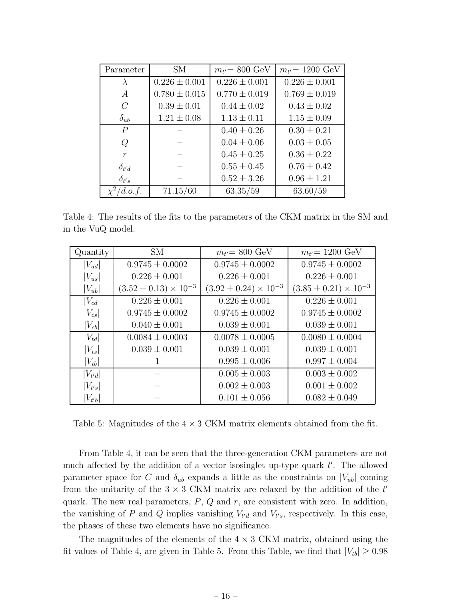| Parameter        | <b>SM</b>         | $m_{t'} = 800 \text{ GeV}$ | $m_{t'} = 1200 \text{ GeV}$ |
|------------------|-------------------|----------------------------|-----------------------------|
| $\lambda$        | $0.226 \pm 0.001$ | $0.226 \pm 0.001$          | $0.226 \pm 0.001$           |
| $\overline{A}$   | $0.780 \pm 0.015$ | $0.770 \pm 0.019$          | $0.769 \pm 0.019$           |
| $\overline{C}$   | $0.39 \pm 0.01$   | $0.44 \pm 0.02$            | $0.43 \pm 0.02$             |
| $\delta_{ub}$    | $1.21 \pm 0.08$   | $1.13 \pm 0.11$            | $1.15 \pm 0.09$             |
| $\overline{P}$   |                   | $0.40 \pm 0.26$            | $0.30 \pm 0.21$             |
| Q                |                   | $0.04 \pm 0.06$            | $0.03 \pm 0.05$             |
| $\boldsymbol{r}$ |                   | $0.45 \pm 0.25$            | $0.36 \pm 0.22$             |
| $\delta_{t'd}$   |                   | $0.55 \pm 0.45$            | $0.76 \pm 0.42$             |
| $\delta_{t's}$   |                   | $0.52 \pm 3.26$            | $0.96 \pm 1.21$             |
| d.o.f.           | 71.15/60          | 63.35/59                   | 63.60/59                    |

Table 4: The results of the fits to the parameters of the CKM matrix in the SM and in the VuQ model.

| Quantity              | <b>SM</b>                        | $m_{t'} = 800 \text{ GeV}$       | $m_{t'} = 1200 \text{ GeV}$      |
|-----------------------|----------------------------------|----------------------------------|----------------------------------|
| $ V_{ud} $            | $0.9745 \pm 0.0002$              | $0.9745 \pm 0.0002$              | $0.9745 \pm 0.0002$              |
| $ V_{us} $            | $0.226 \pm 0.001$                | $0.226 \pm 0.001$                | $0.226 \pm 0.001$                |
| $ V_{ub} $            | $(3.52 \pm 0.13) \times 10^{-3}$ | $(3.92 \pm 0.24) \times 10^{-3}$ | $(3.85 \pm 0.21) \times 10^{-3}$ |
| $ V_{cd} $            | $0.226 \pm 0.001$                | $0.226 \pm 0.001$                | $0.226 \pm 0.001$                |
| $ V_{cs} $            | $0.9745 \pm 0.0002$              | $0.9745 \pm 0.0002$              | $0.9745 \pm 0.0002$              |
| $\left V_{cb}\right $ | $0.040 \pm 0.001$                | $0.039 \pm 0.001$                | $0.039 \pm 0.001$                |
| $ V_{td} $            | $0.0084 \pm 0.0003$              | $0.0078 \pm 0.0005$              | $0.0080 \pm 0.0004$              |
| $ V_{ts} $            | $0.039 \pm 0.001$                | $0.039 \pm 0.001$                | $0.039 \pm 0.001$                |
| $ V_{tb} $            | T                                | $0.995 \pm 0.006$                | $0.997 \pm 0.004$                |
| $ V_{t'd} $           |                                  | $0.005 \pm 0.003$                | $0.003 \pm 0.002$                |
| $ V_{t's} $           |                                  | $0.002 \pm 0.003$                | $0.001 \pm 0.002$                |
| $ V_{t'b} $           |                                  | $0.101 \pm 0.056$                | $0.082 \pm 0.049$                |

Table 5: Magnitudes of the  $4 \times 3$  CKM matrix elements obtained from the fit.

From Table 4, it can be seen that the three-generation CKM parameters are not much affected by the addition of a vector isosinglet up-type quark  $t'$ . The allowed parameter space for C and  $\delta_{ub}$  expands a little as the constraints on  $|V_{ub}|$  coming from the unitarity of the  $3 \times 3$  CKM matrix are relaxed by the addition of the  $t'$ quark. The new real parameters,  $P$ ,  $Q$  and  $r$ , are consistent with zero. In addition, the vanishing of P and Q implies vanishing  $V_{t'd}$  and  $V_{t's}$ , respectively. In this case, the phases of these two elements have no significance.

The magnitudes of the elements of the  $4 \times 3$  CKM matrix, obtained using the fit values of Table 4, are given in Table 5. From this Table, we find that  $|V_{tb}| \geq 0.98$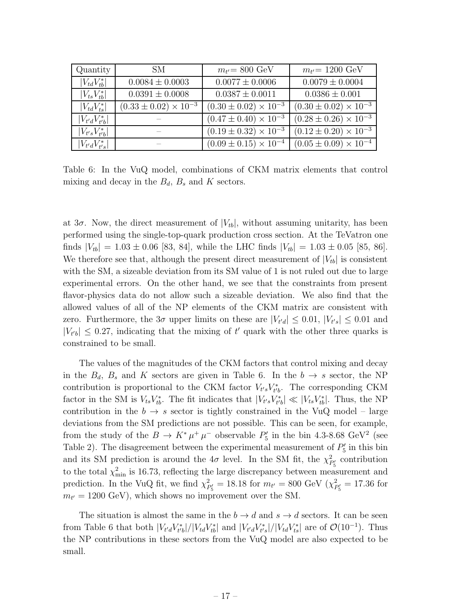| Quantity             | SM                               | $m_{t'} = 800 \text{ GeV}$       | $m_{t'} = 1200 \text{ GeV}$                 |
|----------------------|----------------------------------|----------------------------------|---------------------------------------------|
| $ V_{td}V_{th}^* $   | $0.0084 \pm 0.0003$              | $0.0077 \pm 0.0006$              | $0.0079 \pm 0.0004$                         |
| $ V_{ts}V_{tb}^* $   | $0.0391 \pm 0.0008$              | $0.0387 \pm 0.0011$              | $0.0386 \pm 0.001$                          |
| $ V_{td}V_{ts}^* $   | $(0.33 \pm 0.02) \times 10^{-3}$ | $(0.30 \pm 0.02) \times 10^{-3}$ | $(0.30 \pm 0.02) \times 10^{-3}$            |
| $ V_{t'd}V_{t'b}^* $ |                                  | $(0.47 \pm 0.40) \times 10^{-3}$ | $(0.28 \pm 0.26) \times 10^{-3}$            |
| $ V_{t's}V_{t'b}^* $ |                                  | $(0.19 \pm 0.32) \times 10^{-3}$ | $(0.12 \pm 0.20) \times \overline{10^{-3}}$ |
| $ V_{t'd}V_{t's}^* $ |                                  | $(0.09 \pm 0.15) \times 10^{-4}$ | $(0.05 \pm 0.09) \times 10^{-4}$            |

Table 6: In the VuQ model, combinations of CKM matrix elements that control mixing and decay in the  $B_d$ ,  $B_s$  and K sectors.

at  $3\sigma$ . Now, the direct measurement of  $|V_{tb}|$ , without assuming unitarity, has been performed using the single-top-quark production cross section. At the TeVatron one finds  $|V_{tb}| = 1.03 \pm 0.06$  [83, 84], while the LHC finds  $|V_{tb}| = 1.03 \pm 0.05$  [85, 86]. We therefore see that, although the present direct measurement of  $|V_{tb}|$  is consistent with the SM, a sizeable deviation from its SM value of 1 is not ruled out due to large experimental errors. On the other hand, we see that the constraints from present flavor-physics data do not allow such a sizeable deviation. We also find that the allowed values of all of the NP elements of the CKM matrix are consistent with zero. Furthermore, the  $3\sigma$  upper limits on these are  $|V_{t'd}| \leq 0.01$ ,  $|V_{t's}| \leq 0.01$  and  $|V_{t'b}| \leq 0.27$ , indicating that the mixing of t' quark with the other three quarks is constrained to be small.

The values of the magnitudes of the CKM factors that control mixing and decay in the  $B_d$ ,  $B_s$  and K sectors are given in Table 6. In the  $b \to s$  sector, the NP contribution is proportional to the CKM factor  $V_{t's}V_{t'b}^*$ . The corresponding CKM factor in the SM is  $V_{ts}V_{tb}^*$ . The fit indicates that  $|V_{t's}V_{t'b}^*| \ll |V_{ts}V_{tb}^*|$ . Thus, the NP contribution in the  $b \to s$  sector is tightly constrained in the VuQ model – large deviations from the SM predictions are not possible. This can be seen, for example, from the study of the  $B \to K^* \mu^+ \mu^-$  observable  $P'_5$  in the bin 4.3-8.68 GeV<sup>2</sup> (see Table 2). The disagreement between the experimental measurement of  $P'_{5}$  in this bin and its SM prediction is around the  $4\sigma$  level. In the SM fit, the  $\chi^2$  $P'_{5}$  contribution to the total  $\chi^2_{\rm min}$  is 16.73, reflecting the large discrepancy between measurement and prediction. In the VuQ fit, we find  $\chi^2$  $P'_{B} = 18.18$  for  $m_{t'} = 800$  GeV  $(\chi^2_{P})$  $\frac{2}{P_5'}=17.36$  for  $m_{t'} = 1200 \text{ GeV}$ , which shows no improvement over the SM.

The situation is almost the same in the  $b \to d$  and  $s \to d$  sectors. It can be seen from Table 6 that both  $|V_{t'd}V_{t'b}^*|/|V_{td}V_{tb}^*|$  and  $|V_{t'd}V_{t's}^*|/|V_{td}V_{ts}^*|$  are of  $\mathcal{O}(10^{-1})$ . Thus the NP contributions in these sectors from the VuQ model are also expected to be small.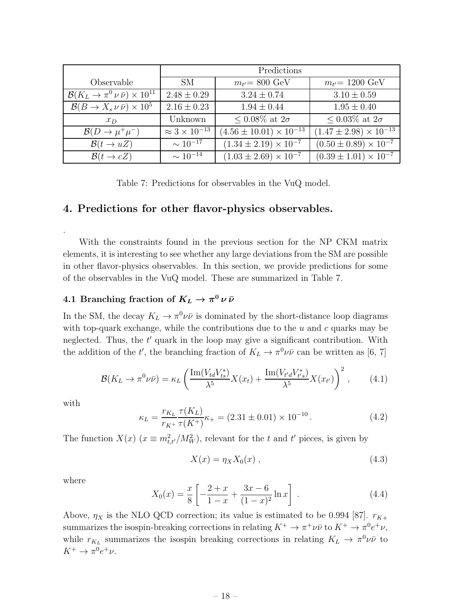|                                                           | Predictions                 |                                    |                                   |
|-----------------------------------------------------------|-----------------------------|------------------------------------|-----------------------------------|
| Observable                                                | SM-                         | $m_{t'} = 800 \text{ GeV}$         | $m_{t'} = 1200 \text{ GeV}$       |
| $\mathcal{B}(K_L \to \pi^0 \nu \bar{\nu}) \times 10^{11}$ | $2.48 \pm 0.29$             | $3.24 \pm 0.74$                    | $3.10 \pm 0.59$                   |
| $\mathcal{B}(B \to X_s \nu \bar{\nu}) \times 10^5$        | $2.16 \pm 0.23$             | $1.94 \pm 0.44$                    | $1.95 \pm 0.40$                   |
| $x_D$                                                     | Unknown                     | $\leq 0.08\%$ at $2\sigma$         | $\leq 0.03\%$ at $2\sigma$        |
| $\mathcal{B}(D \to \mu^+ \mu^-)$                          | $\approx 3 \times 10^{-13}$ | $(4.56 \pm 10.01) \times 10^{-13}$ | $(1.47 \pm 2.98) \times 10^{-13}$ |
| $\mathcal{B}(t \to uZ)$                                   | $\sim 10^{-17}$             | $(1.34 \pm 2.19) \times 10^{-7}$   | $(0.50 \pm 0.89) \times 10^{-7}$  |
| $\mathcal{B}(t \to cZ)$                                   | $\sim 10^{-14}$             | $(1.03 \pm 2.69) \times 10^{-7}$   | $(0.39 \pm 1.01) \times 10^{-7}$  |

Table 7: Predictions for observables in the VuQ model.

### 4. Predictions for other flavor-physics observables.

With the constraints found in the previous section for the NP CKM matrix elements, it is interesting to see whether any large deviations from the SM are possible in other flavor-physics observables. In this section, we provide predictions for some of the observables in the VuQ model. These are summarized in Table 7.

### 4.1 Branching fraction of  $K_L \rightarrow \pi^0 \, \nu \, \bar{\nu}$

In the SM, the decay  $K_L \to \pi^0 \nu \bar{\nu}$  is dominated by the short-distance loop diagrams with top-quark exchange, while the contributions due to the  $u$  and  $c$  quarks may be neglected. Thus, the t' quark in the loop may give a significant contribution. With the addition of the t', the branching fraction of  $K_L \to \pi^0 \nu \bar{\nu}$  can be written as [6, 7]

$$
\mathcal{B}(K_L \to \pi^0 \nu \bar{\nu}) = \kappa_L \left( \frac{\mathrm{Im}(V_{td} V_{ts}^*)}{\lambda^5} X(x_t) + \frac{\mathrm{Im}(V_{t'd} V_{t's}^*)}{\lambda^5} X(x_{t'}) \right)^2, \tag{4.1}
$$

with

.

$$
\kappa_L = \frac{r_{K_L}}{r_{K^+}} \frac{\tau(K_L)}{\tau(K^+)} \kappa_+ = (2.31 \pm 0.01) \times 10^{-10} \,. \tag{4.2}
$$

The function  $X(x)$   $(x \equiv m_{t,t'}^2/M_W^2)$ , relevant for the t and t' pieces, is given by

$$
X(x) = \eta_X X_0(x) , \qquad (4.3)
$$

where

$$
X_0(x) = \frac{x}{8} \left[ -\frac{2+x}{1-x} + \frac{3x-6}{(1-x)^2} \ln x \right] \,. \tag{4.4}
$$

Above,  $\eta_X$  is the NLO QCD correction; its value is estimated to be 0.994 [87].  $r_{K+}$ summarizes the isospin-breaking corrections in relating  $K^+ \to \pi^+ \nu \bar{\nu}$  to  $K^+ \to \pi^0 e^+ \nu$ , while  $r_{K_L}$  summarizes the isospin breaking corrections in relating  $K_L \to \pi^0 \nu \bar{\nu}$  to  $K^+ \to \pi^0 e^+ \nu$ .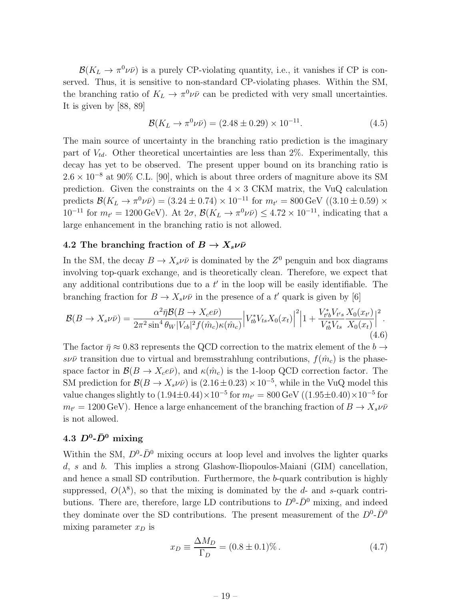$\mathcal{B}(K_L \to \pi^0 \nu \bar{\nu})$  is a purely CP-violating quantity, i.e., it vanishes if CP is conserved. Thus, it is sensitive to non-standard CP-violating phases. Within the SM, the branching ratio of  $K_L \to \pi^0 \nu \bar{\nu}$  can be predicted with very small uncertainties. It is given by [88, 89]

$$
\mathcal{B}(K_L \to \pi^0 \nu \bar{\nu}) = (2.48 \pm 0.29) \times 10^{-11}.
$$
 (4.5)

The main source of uncertainty in the branching ratio prediction is the imaginary part of  $V_{td}$ . Other theoretical uncertainties are less than 2\%. Experimentally, this decay has yet to be observed. The present upper bound on its branching ratio is  $2.6 \times 10^{-8}$  at 90% C.L. [90], which is about three orders of magniture above its SM prediction. Given the constraints on the  $4 \times 3$  CKM matrix, the VuQ calculation predicts  $\mathcal{B}(K_L \to \pi^0 \nu \bar{\nu}) = (3.24 \pm 0.74) \times 10^{-11}$  for  $m_{t'} = 800 \,\text{GeV}$  ((3.10  $\pm$  0.59) ×  $10^{-11}$  for  $m_{t'} = 1200$  GeV). At  $2\sigma$ ,  $\mathcal{B}(K_L \to \pi^0 \nu \bar{\nu}) \leq 4.72 \times 10^{-11}$ , indicating that a large enhancement in the branching ratio is not allowed.

#### 4.2 The branching fraction of  $B \to X_s \nu \bar{\nu}$

In the SM, the decay  $B \to X_s \nu \bar{\nu}$  is dominated by the  $Z^0$  penguin and box diagrams involving top-quark exchange, and is theoretically clean. Therefore, we expect that any additional contributions due to a  $t'$  in the loop will be easily identifiable. The branching fraction for  $B \to X_s \nu\bar{\nu}$  in the presence of a  $t'$  quark is given by [6]

$$
\mathcal{B}(B \to X_s \nu \bar{\nu}) = \frac{\alpha^2 \bar{\eta} \mathcal{B}(B \to X_c e \bar{\nu})}{2\pi^2 \sin^4 \theta_W |V_{cb}|^2 f(\hat{m}_c) \kappa(\hat{m}_c)} \Big| V_{tb}^* V_{ts} X_0(x_t) \Big|^2 \Big| 1 + \frac{V_{t'b}^* V_{t's}}{V_{tb}^* V_{ts}} \frac{X_0(x_{t'})}{X_0(x_t)} \Big|^2. \tag{4.6}
$$

The factor  $\bar{\eta} \approx 0.83$  represents the QCD correction to the matrix element of the  $b \to$ sv $\bar{\nu}$  transition due to virtual and bremsstrahlung contributions,  $f(\hat{m}_c)$  is the phasespace factor in  $\mathcal{B}(B \to X_c e\bar{\nu})$ , and  $\kappa(\hat{m}_c)$  is the 1-loop QCD correction factor. The SM prediction for  $\mathcal{B}(B \to X_s \nu \bar{\nu})$  is  $(2.16 \pm 0.23) \times 10^{-5}$ , while in the VuQ model this value changes slightly to  $(1.94 \pm 0.44) \times 10^{-5}$  for  $m_{t'} = 800 \,\text{GeV}$   $((1.95 \pm 0.40) \times 10^{-5}$  for  $m_{t'} = 1200 \,\text{GeV}$ ). Hence a large enhancement of the branching fraction of  $B \to X_s \nu \bar{\nu}$ is not allowed.

### $4.3 \,\, D^0\text{-}\bar D^0 \,\, \text{mixing}$

Within the SM,  $D^0$ - $\bar{D}^0$  mixing occurs at loop level and involves the lighter quarks d, s and b. This implies a strong Glashow-Iliopoulos-Maiani (GIM) cancellation, and hence a small SD contribution. Furthermore, the b-quark contribution is highly suppressed,  $O(\lambda^8)$ , so that the mixing is dominated by the d- and s-quark contributions. There are, therefore, large LD contributions to  $D^0$ - $\bar{D}^0$  mixing, and indeed they dominate over the SD contributions. The present measurement of the  $D^0$ - $\bar{D}^0$ mixing parameter  $x_D$  is

$$
x_D \equiv \frac{\Delta M_D}{\Gamma_D} = (0.8 \pm 0.1)\% \,. \tag{4.7}
$$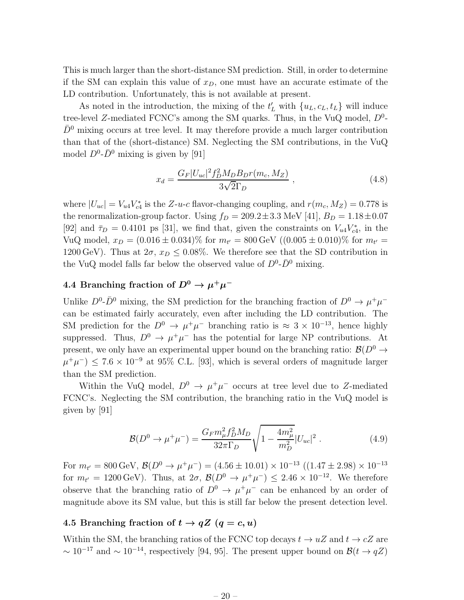This is much larger than the short-distance SM prediction. Still, in order to determine if the SM can explain this value of  $x_D$ , one must have an accurate estimate of the LD contribution. Unfortunately, this is not available at present.

As noted in the introduction, the mixing of the  $t'_{L}$  with  $\{u_{L}, c_{L}, t_{L}\}$  will induce tree-level Z-mediated FCNC's among the SM quarks. Thus, in the VuQ model,  $D^0$ - $\bar{D}^0$  mixing occurs at tree level. It may therefore provide a much larger contribution than that of the (short-distance) SM. Neglecting the SM contributions, in the VuQ model  $D^0$ - $\bar{D}^0$  mixing is given by [91]

$$
x_d = \frac{G_F |U_{uc}|^2 f_D^2 M_D B_D r(m_c, M_Z)}{3\sqrt{2}\Gamma_D} , \qquad (4.8)
$$

where  $|U_{uc}| = V_{u4}V_{c4}^*$  is the Z-u-c flavor-changing coupling, and  $r(m_c, M_Z) = 0.778$  is the renormalization-group factor. Using  $f_D = 209.2 \pm 3.3$  MeV [41],  $B_D = 1.18 \pm 0.07$ [92] and  $\bar{\tau}_D = 0.4101$  ps [31], we find that, given the constraints on  $V_{u4}V_{c4}^*$ , in the VuQ model,  $x_D = (0.016 \pm 0.034)\%$  for  $m_{t'} = 800 \,\text{GeV}$  ( $(0.005 \pm 0.010)\%$  for  $m_{t'} =$ 1200 GeV). Thus at  $2\sigma$ ,  $x_D \leq 0.08\%$ . We therefore see that the SD contribution in the VuQ model falls far below the observed value of  $D^0$ - $\bar{D}^0$  mixing.

### 4.4 Branching fraction of  $D^0 \to \mu^+\mu^-$

Unlike  $D^0$ - $\bar{D}^0$  mixing, the SM prediction for the branching fraction of  $D^0 \to \mu^+ \mu^$ can be estimated fairly accurately, even after including the LD contribution. The SM prediction for the  $D^0 \to \mu^+\mu^-$  branching ratio is  $\approx 3 \times 10^{-13}$ , hence highly suppressed. Thus,  $D^0 \to \mu^+\mu^-$  has the potential for large NP contributions. At present, we only have an experimental upper bound on the branching ratio:  $\mathcal{B}(D^0 \to$  $\mu^+\mu^-$ )  $\leq 7.6 \times 10^{-9}$  at 95% C.L. [93], which is several orders of magnitude larger than the SM prediction.

Within the VuQ model,  $D^0 \to \mu^+\mu^-$  occurs at tree level due to Z-mediated FCNC's. Neglecting the SM contribution, the branching ratio in the VuQ model is given by [91]

$$
\mathcal{B}(D^0 \to \mu^+ \mu^-) = \frac{G_F m_\mu^2 f_D^2 M_D}{32\pi \Gamma_D} \sqrt{1 - \frac{4m_\mu^2}{m_D^2}} |U_{uc}|^2 \ . \tag{4.9}
$$

For  $m_{t'} = 800 \,\text{GeV}, \,\mathcal{B}(D^0 \to \mu^+ \mu^-) = (4.56 \pm 10.01) \times 10^{-13} \,\, ((1.47 \pm 2.98) \times 10^{-13}$ for  $m_{t'} = 1200 \,\text{GeV}$ ). Thus, at  $2\sigma$ ,  $\mathcal{B}(D^0 \to \mu^+\mu^-) \leq 2.46 \times 10^{-12}$ . We therefore observe that the branching ratio of  $D^0 \to \mu^+\mu^-$  can be enhanced by an order of magnitude above its SM value, but this is still far below the present detection level.

### 4.5 Branching fraction of  $t \to qZ$   $(q = c, u)$

Within the SM, the branching ratios of the FCNC top decays  $t \to uZ$  and  $t \to cZ$  are  $\sim 10^{-17}$  and  $\sim 10^{-14}$ , respectively [94, 95]. The present upper bound on  $\mathcal{B}(t \to qZ)$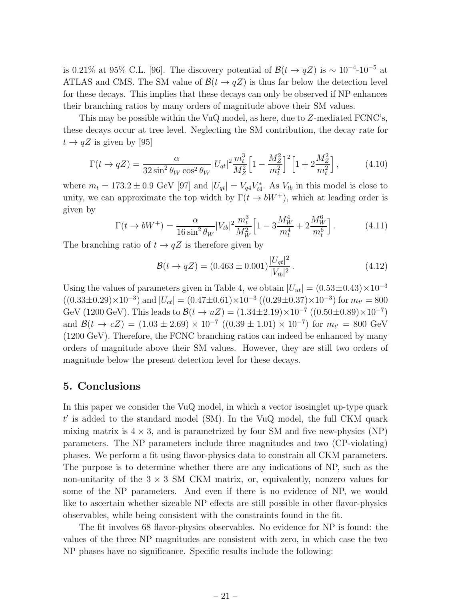is 0.21% at 95% C.L. [96]. The discovery potential of  $\mathcal{B}(t \to qZ)$  is ~ 10<sup>-4</sup>-10<sup>-5</sup> at ATLAS and CMS. The SM value of  $\mathcal{B}(t \to qZ)$  is thus far below the detection level for these decays. This implies that these decays can only be observed if NP enhances their branching ratios by many orders of magnitude above their SM values.

This may be possible within the VuQ model, as here, due to Z-mediated FCNC's, these decays occur at tree level. Neglecting the SM contribution, the decay rate for  $t \rightarrow qZ$  is given by [95]

$$
\Gamma(t \to qZ) = \frac{\alpha}{32\sin^2 \theta_W \cos^2 \theta_W} |U_{qt}|^2 \frac{m_t^3}{M_Z^2} \Big[ 1 - \frac{M_Z^2}{m_t^2} \Big]^2 \Big[ 1 + 2 \frac{M_Z^2}{m_t^2} \Big],\tag{4.10}
$$

where  $m_t = 173.2 \pm 0.9$  GeV [97] and  $|U_{qt}| = V_{q4}V_{t4}^*$ . As  $V_{tb}$  in this model is close to unity, we can approximate the top width by  $\Gamma(t \to bW^+)$ , which at leading order is given by

$$
\Gamma(t \to bW^+) = \frac{\alpha}{16 \sin^2 \theta_W} |V_{tb}|^2 \frac{m_t^3}{M_W^2} \left[1 - 3 \frac{M_W^4}{m_t^4} + 2 \frac{M_W^6}{m_t^6}\right].
$$
 (4.11)

The branching ratio of  $t \to qZ$  is therefore given by

$$
\mathcal{B}(t \to qZ) = (0.463 \pm 0.001) \frac{|U_{qt}|^2}{|V_{tb}|^2}.
$$
\n(4.12)

Using the values of parameters given in Table 4, we obtain  $|U_{ut}| = (0.53 \pm 0.43) \times 10^{-3}$  $((0.33\pm0.29)\times10^{-3})$  and  $|U_{ct}| = (0.47\pm0.61)\times10^{-3} ((0.29\pm0.37)\times10^{-3})$  for  $m_{t'} = 800$ GeV (1200 GeV). This leads to  $\mathcal{B}(t \to uZ) = (1.34 \pm 2.19) \times 10^{-7} ((0.50 \pm 0.89) \times 10^{-7})$ and  $\mathcal{B}(t \to cZ) = (1.03 \pm 2.69) \times 10^{-7} ((0.39 \pm 1.01) \times 10^{-7})$  for  $m_{t'} = 800 \text{ GeV}$ (1200 GeV). Therefore, the FCNC branching ratios can indeed be enhanced by many orders of magnitude above their SM values. However, they are still two orders of magnitude below the present detection level for these decays.

#### 5. Conclusions

In this paper we consider the VuQ model, in which a vector isosinglet up-type quark t ′ is added to the standard model (SM). In the VuQ model, the full CKM quark mixing matrix is  $4 \times 3$ , and is parametrized by four SM and five new-physics (NP) parameters. The NP parameters include three magnitudes and two (CP-violating) phases. We perform a fit using flavor-physics data to constrain all CKM parameters. The purpose is to determine whether there are any indications of NP, such as the non-unitarity of the  $3 \times 3$  SM CKM matrix, or, equivalently, nonzero values for some of the NP parameters. And even if there is no evidence of NP, we would like to ascertain whether sizeable NP effects are still possible in other flavor-physics observables, while being consistent with the constraints found in the fit.

The fit involves 68 flavor-physics observables. No evidence for NP is found: the values of the three NP magnitudes are consistent with zero, in which case the two NP phases have no significance. Specific results include the following: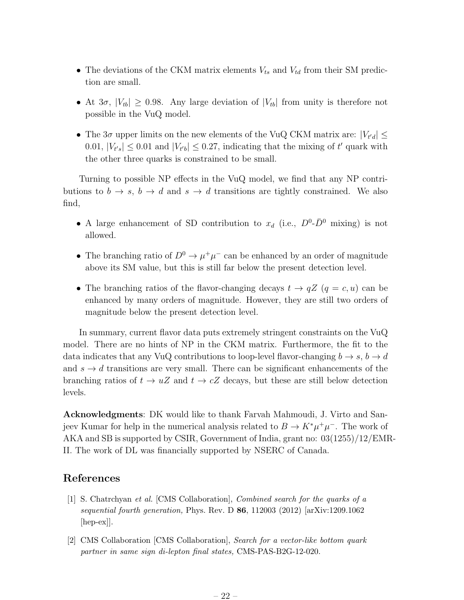- The deviations of the CKM matrix elements  $V_{ts}$  and  $V_{td}$  from their SM prediction are small.
- At  $3\sigma$ ,  $|V_{tb}| \geq 0.98$ . Any large deviation of  $|V_{tb}|$  from unity is therefore not possible in the VuQ model.
- The  $3\sigma$  upper limits on the new elements of the VuQ CKM matrix are:  $|V_{t'd}| \le$ 0.01,  $|V_{t's}| \leq 0.01$  and  $|V_{t'b}| \leq 0.27$ , indicating that the mixing of  $t'$  quark with the other three quarks is constrained to be small.

Turning to possible NP effects in the VuQ model, we find that any NP contributions to  $b \to s$ ,  $b \to d$  and  $s \to d$  transitions are tightly constrained. We also find,

- A large enhancement of SD contribution to  $x_d$  (i.e.,  $D^0$ - $\bar{D}^0$  mixing) is not allowed.
- The branching ratio of  $D^0 \to \mu^+\mu^-$  can be enhanced by an order of magnitude above its SM value, but this is still far below the present detection level.
- The branching ratios of the flavor-changing decays  $t \to qZ$   $(q = c, u)$  can be enhanced by many orders of magnitude. However, they are still two orders of magnitude below the present detection level.

In summary, current flavor data puts extremely stringent constraints on the VuQ model. There are no hints of NP in the CKM matrix. Furthermore, the fit to the data indicates that any VuQ contributions to loop-level flavor-changing  $b \to s$ ,  $b \to d$ and  $s \to d$  transitions are very small. There can be significant enhancements of the branching ratios of  $t \to uZ$  and  $t \to cZ$  decays, but these are still below detection levels.

Acknowledgments: DK would like to thank Farvah Mahmoudi, J. Virto and Sanjeev Kumar for help in the numerical analysis related to  $B \to K^* \mu^+ \mu^-$ . The work of AKA and SB is supported by CSIR, Government of India, grant no: 03(1255)/12/EMR-II. The work of DL was financially supported by NSERC of Canada.

### References

- [1] S. Chatrchyan et al. [CMS Collaboration], Combined search for the quarks of a sequential fourth generation, Phys. Rev. D  $86$ , 112003 (2012) [arXiv:1209.1062 [hep-ex]].
- [2] CMS Collaboration [CMS Collaboration], Search for a vector-like bottom quark partner in same sign di-lepton final states, CMS-PAS-B2G-12-020.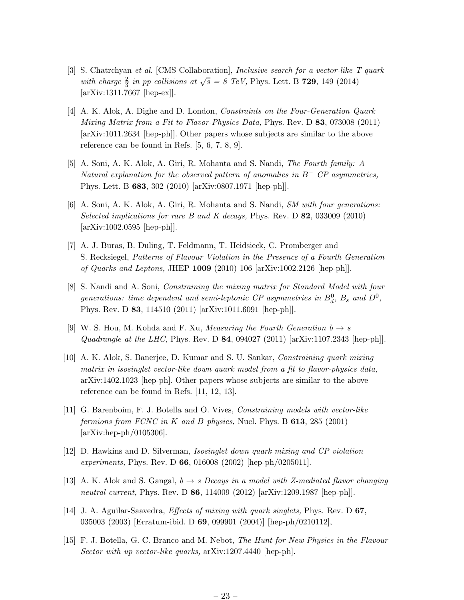- [3] S. Chatrchyan et al. [CMS Collaboration], Inclusive search for a vector-like T quark with charge  $\frac{2}{3}$  in pp collisions at  $\sqrt{s} = 8$  TeV, Phys. Lett. B **729**, 149 (2014) [arXiv:1311.7667 [hep-ex]].
- [4] A. K. Alok, A. Dighe and D. London, Constraints on the Four-Generation Quark Mixing Matrix from a Fit to Flavor-Physics Data, Phys. Rev. D 83, 073008 (2011) [arXiv:1011.2634 [hep-ph]]. Other papers whose subjects are similar to the above reference can be found in Refs. [5, 6, 7, 8, 9].
- [5] A. Soni, A. K. Alok, A. Giri, R. Mohanta and S. Nandi, The Fourth family: A Natural explanation for the observed pattern of anomalies in  $B^-$  CP asymmetries, Phys. Lett. B 683, 302 (2010) [arXiv:0807.1971 [hep-ph]].
- [6] A. Soni, A. K. Alok, A. Giri, R. Mohanta and S. Nandi, SM with four generations: Selected implications for rare B and K decays, Phys. Rev. D 82, 033009 (2010) [arXiv:1002.0595 [hep-ph]].
- [7] A. J. Buras, B. Duling, T. Feldmann, T. Heidsieck, C. Promberger and S. Recksiegel, Patterns of Flavour Violation in the Presence of a Fourth Generation of Quarks and Leptons, JHEP 1009 (2010) 106 [arXiv:1002.2126 [hep-ph]].
- [8] S. Nandi and A. Soni, Constraining the mixing matrix for Standard Model with four generations: time dependent and semi-leptonic CP asymmetries in  $B_d^0$ ,  $B_s$  and  $D^0$ , Phys. Rev. D 83, 114510 (2011) [arXiv:1011.6091 [hep-ph]].
- [9] W. S. Hou, M. Kohda and F. Xu, *Measuring the Fourth Generation*  $b \rightarrow s$ Quadrangle at the LHC, Phys. Rev. D 84, 094027 (2011)  $[\text{arXiv:1107.2343 }$  [hep-ph]].
- [10] A. K. Alok, S. Banerjee, D. Kumar and S. U. Sankar, Constraining quark mixing matrix in isosinglet vector-like down quark model from a fit to flavor-physics data, arXiv:1402.1023 [hep-ph]. Other papers whose subjects are similar to the above reference can be found in Refs. [11, 12, 13].
- [11] G. Barenboim, F. J. Botella and O. Vives, Constraining models with vector-like fermions from FCNC in K and B physics, Nucl. Phys. B  $613$ , 285 (2001) [arXiv:hep-ph/0105306].
- [12] D. Hawkins and D. Silverman, Isosinglet down quark mixing and CP violation experiments, Phys. Rev. D 66, 016008 (2002) [hep-ph/0205011].
- [13] A. K. Alok and S. Gangal,  $b \rightarrow s$  Decays in a model with Z-mediated flavor changing neutral current, Phys. Rev. D 86, 114009 (2012) [arXiv:1209.1987 [hep-ph]].
- [14] J. A. Aguilar-Saavedra, Effects of mixing with quark singlets, Phys. Rev. D 67, 035003 (2003) [Erratum-ibid. D 69, 099901 (2004)] [hep-ph/0210112],
- [15] F. J. Botella, G. C. Branco and M. Nebot, The Hunt for New Physics in the Flavour Sector with up vector-like quarks,  $\alpha$ Xiv:1207.4440 [hep-ph].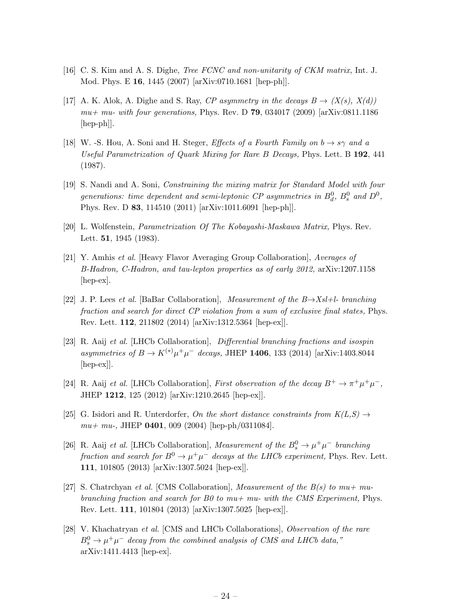- [16] C. S. Kim and A. S. Dighe, Tree FCNC and non-unitarity of CKM matrix, Int. J. Mod. Phys. E 16, 1445 (2007) [arXiv:0710.1681 [hep-ph]].
- [17] A. K. Alok, A. Dighe and S. Ray, CP asymmetry in the decays  $B \to (X(s), X(d))$  $mu+mu$ - with four generations, Phys. Rev. D 79, 034017 (2009) [arXiv:0811.1186 [hep-ph]].
- [18] W. -S. Hou, A. Soni and H. Steger, *Effects of a Fourth Family on*  $b \rightarrow s\gamma$  and a Useful Parametrization of Quark Mixing for Rare B Decays, Phys. Lett. B 192, 441 (1987).
- [19] S. Nandi and A. Soni, Constraining the mixing matrix for Standard Model with four generations: time dependent and semi-leptonic CP asymmetries in  $B_d^0$ ,  $B_s^0$  and  $D^0$ , Phys. Rev. D 83, 114510 (2011) [arXiv:1011.6091 [hep-ph]].
- [20] L. Wolfenstein, Parametrization Of The Kobayashi-Maskawa Matrix, Phys. Rev. Lett. 51, 1945 (1983).
- [21] Y. Amhis et al. [Heavy Flavor Averaging Group Collaboration], Averages of B-Hadron, C-Hadron, and tau-lepton properties as of early 2012, arXiv:1207.1158 [hep-ex].
- [22] J. P. Lees et al. [BaBar Collaboration], Measurement of the B→Xsl+l- branching fraction and search for direct CP violation from a sum of exclusive final states, Phys. Rev. Lett. 112, 211802 (2014) [arXiv:1312.5364 [hep-ex]].
- [23] R. Aaij et al. [LHCb Collaboration], Differential branching fractions and isospin asymmetries of  $B \to K^{(*)} \mu^+ \mu^-$  decays, JHEP 1406, 133 (2014) [arXiv:1403.8044 [hep-ex]].
- [24] R. Aaij et al. [LHCb Collaboration], First observation of the decay  $B^+ \to \pi^+ \mu^+ \mu^-$ , JHEP 1212, 125 (2012) [arXiv:1210.2645 [hep-ex]].
- [25] G. Isidori and R. Unterdorfer, On the short distance constraints from  $K(L, S) \rightarrow$  $mu+mu$ -, JHEP 0401, 009 (2004) [hep-ph/0311084].
- [26] R. Aaij et al. [LHCb Collaboration], Measurement of the  $B_s^0 \to \mu^+\mu^-$  branching fraction and search for  $B^0 \to \mu^+ \mu^-$  decays at the LHCb experiment, Phys. Rev. Lett. 111, 101805 (2013) [arXiv:1307.5024 [hep-ex]].
- [27] S. Chatrchyan et al. [CMS Collaboration], Measurement of the  $B(s)$  to  $mu+m$ ubranching fraction and search for B0 to  $mu+mu$ - with the CMS Experiment, Phys. Rev. Lett. 111, 101804 (2013) [arXiv:1307.5025 [hep-ex]].
- [28] V. Khachatryan et al. [CMS and LHCb Collaborations], Observation of the rare  $B_s^0 \rightarrow \mu^+\mu^-$  decay from the combined analysis of CMS and LHCb data," arXiv:1411.4413 [hep-ex].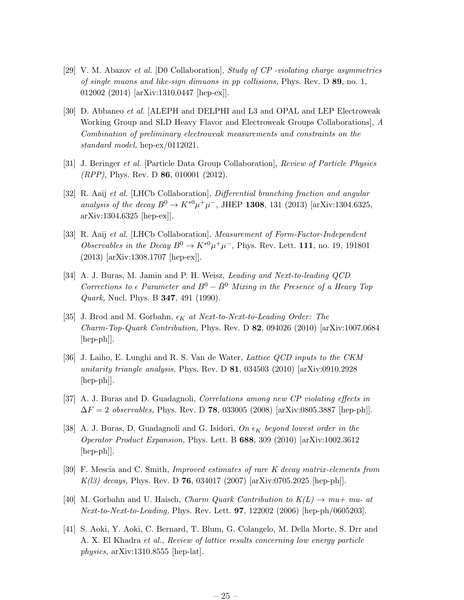- [29] V. M. Abazov et al. [D0 Collaboration], Study of CP -violating charge asymmetries of single muons and like-sign dimuons in pp collisions, Phys. Rev. D 89, no. 1, 012002 (2014) [arXiv:1310.0447 [hep-ex]].
- [30] D. Abbaneo et al. [ALEPH and DELPHI and L3 and OPAL and LEP Electroweak Working Group and SLD Heavy Flavor and Electroweak Groups Collaborations], A Combination of preliminary electroweak measurements and constraints on the standard model, hep-ex/0112021.
- [31] J. Beringer et al. [Particle Data Group Collaboration], Review of Particle Physics (RPP), Phys. Rev. D 86, 010001 (2012).
- [32] R. Aaij et al. [LHCb Collaboration], Differential branching fraction and angular analysis of the decay  $B^0 \to K^{*0} \mu^+ \mu^-$ , JHEP **1308**, 131 (2013) [arXiv:1304.6325, arXiv:1304.6325 [hep-ex]].
- [33] R. Aaij et al. [LHCb Collaboration], Measurement of Form-Factor-Independent Observables in the Decay  $B^0 \to K^{*0} \mu^+ \mu^-$ , Phys. Rev. Lett. 111, no. 19, 191801 (2013) [arXiv:1308.1707 [hep-ex]].
- [34] A. J. Buras, M. Jamin and P. H. Weisz, Leading and Next-to-leading QCD Corrections to  $\epsilon$  Parameter and  $B^0 - \bar{B}^0$  Mixing in the Presence of a Heavy Top Quark, Nucl. Phys. B 347, 491 (1990).
- [35] J. Brod and M. Gorbahn,  $\epsilon_K$  at Next-to-Next-to-Leading Order: The Charm-Top-Quark Contribution, Phys. Rev. D 82, 094026 (2010) [arXiv:1007.0684 [hep-ph]].
- [36] J. Laiho, E. Lunghi and R. S. Van de Water, Lattice QCD inputs to the CKM unitarity triangle analysis, Phys. Rev. D  $81$ , 034503 (2010) [arXiv:0910.2928 [hep-ph]].
- [37] A. J. Buras and D. Guadagnoli, Correlations among new CP violating effects in  $\Delta F = 2$  observables, Phys. Rev. D 78, 033005 (2008) [arXiv:0805.3887 [hep-ph]].
- [38] A. J. Buras, D. Guadagnoli and G. Isidori, On  $\epsilon_K$  beyond lowest order in the Operator Product Expansion, Phys. Lett. B 688, 309 (2010) [arXiv:1002.3612 [hep-ph]].
- [39] F. Mescia and C. Smith, Improved estimates of rare K decay matrix-elements from  $K(l3)$  decays, Phys. Rev. D 76, 034017 (2007) [arXiv:0705.2025 [hep-ph]].
- [40] M. Gorbahn and U. Haisch, *Charm Quark Contribution to*  $K(L) \rightarrow mu+mu$  at Next-to-Next-to-Leading, Phys. Rev. Lett. 97, 122002 (2006) [hep-ph/0605203].
- [41] S. Aoki, Y. Aoki, C. Bernard, T. Blum, G. Colangelo, M. Della Morte, S. Drr and A. X. El Khadra et al., Review of lattice results concerning low energy particle physics, arXiv:1310.8555 [hep-lat].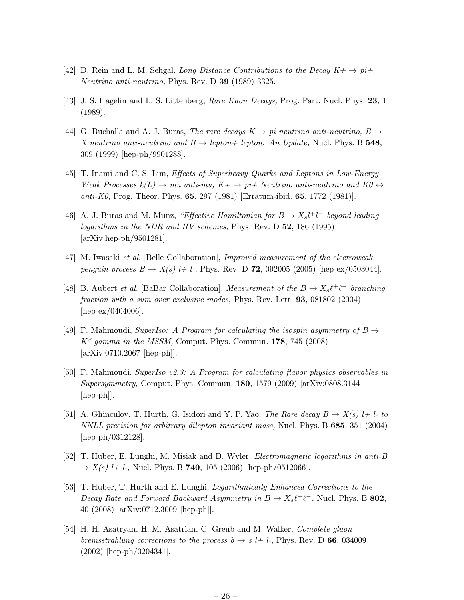- [42] D. Rein and L. M. Sehgal, Long Distance Contributions to the Decay  $K^+ \to p\bar{t}$ Neutrino anti-neutrino, Phys. Rev. D 39 (1989) 3325.
- [43] J. S. Hagelin and L. S. Littenberg, Rare Kaon Decays, Prog. Part. Nucl. Phys. 23, 1 (1989).
- [44] G. Buchalla and A. J. Buras, The rare decays  $K \to pi$  neutrino anti-neutrino,  $B \to$ X neutrino anti-neutrino and  $B \to lepton + lepton$ : An Update, Nucl. Phys. B 548, 309 (1999) [hep-ph/9901288].
- [45] T. Inami and C. S. Lim, Effects of Superheavy Quarks and Leptons in Low-Energy Weak Processes  $k(L) \to mu$  anti-mu,  $K + \to pi + Neutrino$  anti-neutrino and  $K0 \leftrightarrow$ anti-K0, Prog. Theor. Phys. **65**, 297 (1981) [Erratum-ibid. **65**, 1772 (1981)].
- [46] A. J. Buras and M. Munz, "Effective Hamiltonian for  $B \to X_s l^+ l^-$  beyond leading logarithms in the NDR and HV schemes, Phys. Rev. D 52, 186 (1995) [arXiv:hep-ph/9501281].
- [47] M. Iwasaki et al. [Belle Collaboration], Improved measurement of the electroweak penguin process  $B \to X(s)$  l+ l-, Phys. Rev. D **72**, 092005 (2005) [hep-ex/0503044].
- [48] B. Aubert *et al.* [BaBar Collaboration], *Measurement of the B*  $\rightarrow X_s \ell^+ \ell^-$  branching fraction with a sum over exclusive modes, Phys. Rev. Lett. 93, 081802 (2004) [hep-ex/0404006].
- [49] F. Mahmoudi, SuperIso: A Program for calculating the isospin asymmetry of  $B \rightarrow$  $K^*$  gamma in the MSSM, Comput. Phys. Commun. 178, 745 (2008) [arXiv:0710.2067 [hep-ph]].
- [50] F. Mahmoudi, SuperIso v2.3: A Program for calculating flavor physics observables in Supersymmetry, Comput. Phys. Commun. 180, 1579 (2009) [arXiv:0808.3144 [hep-ph]].
- [51] A. Ghinculov, T. Hurth, G. Isidori and Y. P. Yao, The Rare decay  $B \to X(s)$  l+ l-to NNLL precision for arbitrary dilepton invariant mass, Nucl. Phys. B 685, 351 (2004) [hep-ph/0312128].
- [52] T. Huber, E. Lunghi, M. Misiak and D. Wyler, Electromagnetic logarithms in anti-B  $\rightarrow X(s)$  l+ l-, Nucl. Phys. B 740, 105 (2006) [hep-ph/0512066].
- [53] T. Huber, T. Hurth and E. Lunghi, Logarithmically Enhanced Corrections to the Decay Rate and Forward Backward Asymmetry in  $\bar{B} \to X_s \ell^+ \ell^-$ , Nucl. Phys. B 802, 40 (2008) [arXiv:0712.3009 [hep-ph]].
- [54] H. H. Asatryan, H. M. Asatrian, C. Greub and M. Walker, Complete gluon bremsstrahlung corrections to the process  $b \rightarrow s$  l+ l-, Phys. Rev. D 66, 034009 (2002) [hep-ph/0204341].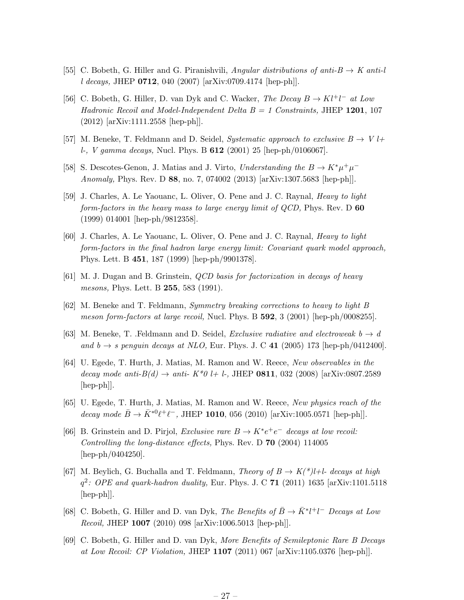- [55] C. Bobeth, G. Hiller and G. Piranishvili, Angular distributions of anti-B  $\rightarrow$  K anti-l l decays, JHEP 0712, 040 (2007) [arXiv:0709.4174 [hep-ph]].
- [56] C. Bobeth, G. Hiller, D. van Dyk and C. Wacker, The Decay  $B \to K l^+ l^-$  at Low Hadronic Recoil and Model-Independent Delta  $B = 1$  Constraints, JHEP 1201, 107 (2012) [arXiv:1111.2558 [hep-ph]].
- [57] M. Beneke, T. Feldmann and D. Seidel, Systematic approach to exclusive  $B \to V l+$ l-, V gamma decays, Nucl. Phys. B 612 (2001) 25 [hep-ph/0106067].
- [58] S. Descotes-Genon, J. Matias and J. Virto, Understanding the  $B \to K^* \mu^+ \mu^-$ Anomaly, Phys. Rev. D 88, no. 7, 074002 (2013) [arXiv:1307.5683 [hep-ph]].
- [59] J. Charles, A. Le Yaouanc, L. Oliver, O. Pene and J. C. Raynal, Heavy to light form-factors in the heavy mass to large energy limit of  $QCD$ , Phys. Rev. D 60 (1999) 014001 [hep-ph/9812358].
- [60] J. Charles, A. Le Yaouanc, L. Oliver, O. Pene and J. C. Raynal, Heavy to light form-factors in the final hadron large energy limit: Covariant quark model approach, Phys. Lett. B 451, 187 (1999) [hep-ph/9901378].
- [61] M. J. Dugan and B. Grinstein, QCD basis for factorization in decays of heavy mesons, Phys. Lett. B **255**, 583 (1991).
- [62] M. Beneke and T. Feldmann, Symmetry breaking corrections to heavy to light B meson form-factors at large recoil, Nucl. Phys. B 592, 3 (2001) [hep-ph/0008255].
- [63] M. Beneke, T. .Feldmann and D. Seidel, *Exclusive radiative and electroweak*  $b \rightarrow d$ and  $b \rightarrow s$  penguin decays at NLO, Eur. Phys. J. C 41 (2005) 173 [hep-ph/0412400].
- [64] U. Egede, T. Hurth, J. Matias, M. Ramon and W. Reece, New observables in the decay mode anti- $B(d) \to$  anti-  $K^*0$  l+ l-, JHEP 0811, 032 (2008) [arXiv:0807.2589  $\vert \text{hep-ph} \vert$ .
- [65] U. Egede, T. Hurth, J. Matias, M. Ramon and W. Reece, New physics reach of the decay mode  $\bar{B} \to \bar{K}^{*0}\ell^+\ell^-$ , JHEP 1010, 056 (2010) [arXiv:1005.0571 [hep-ph]].
- [66] B. Grinstein and D. Pirjol, *Exclusive rare*  $B \to K^*e^+e^-$  *decays at low recoil:* Controlling the long-distance effects, Phys. Rev. D 70 (2004) 114005 [hep-ph/0404250].
- [67] M. Beylich, G. Buchalla and T. Feldmann, Theory of  $B \to K(^{*})l+l$  decays at high  $q^2$ : OPE and quark-hadron duality, Eur. Phys. J. C 71 (2011) 1635 [arXiv:1101.5118 [hep-ph]].
- [68] C. Bobeth, G. Hiller and D. van Dyk, *The Benefits of*  $\bar{B} \to \bar{K}^* l^+ l^-$  *Decays at Low* Recoil, JHEP 1007 (2010) 098 [arXiv:1006.5013 [hep-ph]].
- [69] C. Bobeth, G. Hiller and D. van Dyk, More Benefits of Semileptonic Rare B Decays at Low Recoil: CP Violation, JHEP 1107 (2011) 067 [arXiv:1105.0376 [hep-ph]].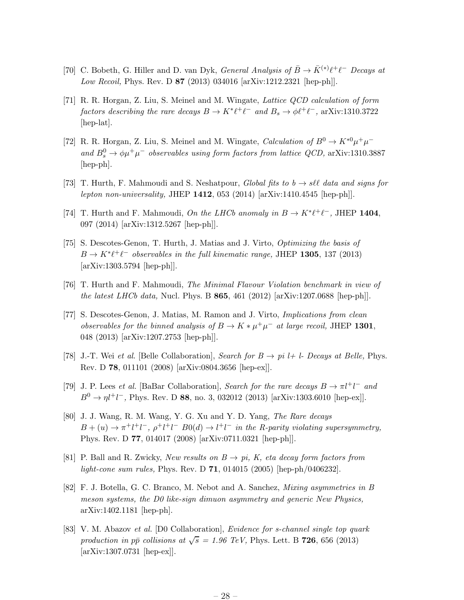- [70] C. Bobeth, G. Hiller and D. van Dyk, *General Analysis of*  $\bar{B} \to \bar{K}^{(*)}\ell^+\ell^-$  *Decays at* Low Recoil, Phys. Rev. D 87 (2013) 034016 [arXiv:1212.2321 [hep-ph]].
- [71] R. R. Horgan, Z. Liu, S. Meinel and M. Wingate, Lattice QCD calculation of form factors describing the rare decays  $B \to K^* \ell^+ \ell^-$  and  $B_s \to \phi \ell^+ \ell^-$ , arXiv:1310.3722 [hep-lat].
- [72] R. R. Horgan, Z. Liu, S. Meinel and M. Wingate, Calculation of  $B^0 \to K^{*0} \mu^+ \mu^$ and  $B_s^0 \rightarrow \phi \mu^+ \mu^-$  observables using form factors from lattice QCD, arXiv:1310.3887 [hep-ph].
- [73] T. Hurth, F. Mahmoudi and S. Neshatpour, Global fits to  $b \to s\ell\ell$  data and signs for lepton non-universality, JHEP  $1412$ , 053 (2014) [arXiv:1410.4545 [hep-ph]].
- [74] T. Hurth and F. Mahmoudi, On the LHCb anomaly in  $B \to K^* \ell^+ \ell^-$ , JHEP 1404, 097 (2014) [arXiv:1312.5267 [hep-ph]].
- [75] S. Descotes-Genon, T. Hurth, J. Matias and J. Virto, Optimizing the basis of  $B \to K^* \ell^+ \ell^-$  observables in the full kinematic range, JHEP 1305, 137 (2013) [arXiv:1303.5794 [hep-ph]].
- [76] T. Hurth and F. Mahmoudi, The Minimal Flavour Violation benchmark in view of the latest LHCb data, Nucl. Phys. B  $865$ , 461 (2012) [arXiv:1207.0688 [hep-ph]].
- [77] S. Descotes-Genon, J. Matias, M. Ramon and J. Virto, Implications from clean observables for the binned analysis of  $B \to K \ast \mu^+ \mu^-$  at large recoil, JHEP 1301, 048 (2013) [arXiv:1207.2753 [hep-ph]].
- [78] J.-T. Wei et al. [Belle Collaboration], Search for  $B \to pi \,l+1$ . Decays at Belle, Phys. Rev. D 78, 011101 (2008) [arXiv:0804.3656 [hep-ex]].
- [79] J. P. Lees *et al.* [BaBar Collaboration], Search for the rare decays  $B \to \pi l^+ l^-$  and  $B^0 \to \eta l^+l^-$ , Phys. Rev. D 88, no. 3, 032012 (2013) [arXiv:1303.6010 [hep-ex]].
- [80] J. J. Wang, R. M. Wang, Y. G. Xu and Y. D. Yang, The Rare decays  $B + (u) \rightarrow \pi^+ l^+ l^-$ ,  $\rho^+ l^+ l^ B0(d) \rightarrow l^+ l^-$  in the R-parity violating supersymmetry, Phys. Rev. D 77, 014017 (2008) [arXiv:0711.0321 [hep-ph]].
- [81] P. Ball and R. Zwicky, New results on  $B \to pi$ , K, eta decay form factors from light-cone sum rules, Phys. Rev. D **71**, 014015 (2005) [hep-ph/0406232].
- [82] F. J. Botella, G. C. Branco, M. Nebot and A. Sanchez, Mixing asymmetries in B meson systems, the D0 like-sign dimuon asymmetry and generic New Physics, arXiv:1402.1181 [hep-ph].
- [83] V. M. Abazov et al. [D0 Collaboration], Evidence for s-channel single top quark production in pp collisions at  $\sqrt{s} = 1.96$  TeV, Phys. Lett. B 726, 656 (2013) [arXiv:1307.0731 [hep-ex]].